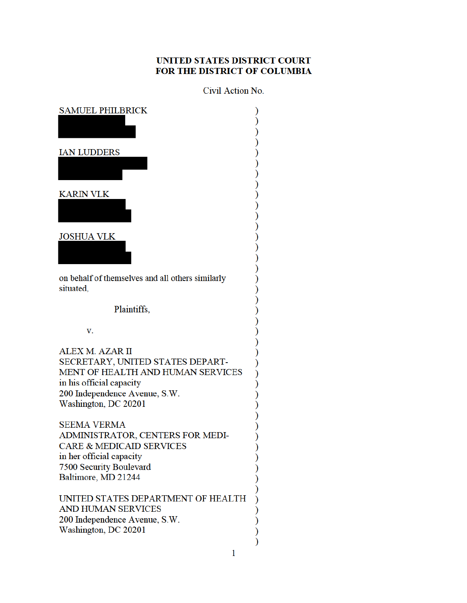# UNITED STATES DISTRICT COURT FOR THE DISTRICT OF COLUMBIA

Civil Action No.

| <b>SAMUEL PHILBRICK</b>                                               |  |
|-----------------------------------------------------------------------|--|
|                                                                       |  |
|                                                                       |  |
| <b>IAN LUDDERS</b>                                                    |  |
|                                                                       |  |
| <b>KARIN VLK</b>                                                      |  |
|                                                                       |  |
|                                                                       |  |
| <b>JOSHUA VLK</b>                                                     |  |
|                                                                       |  |
|                                                                       |  |
| on behalf of themselves and all others similarly<br>situated,         |  |
|                                                                       |  |
| Plaintiffs,                                                           |  |
| v.                                                                    |  |
| ALEX M. AZAR II                                                       |  |
| SECRETARY, UNITED STATES DEPART-<br>MENT OF HEALTH AND HUMAN SERVICES |  |
| in his official capacity                                              |  |
| 200 Independence Avenue, S.W.<br>Washington, DC 20201                 |  |
|                                                                       |  |
| <b>SEEMA VERMA</b><br>ADMINISTRATOR, CENTERS FOR MEDI-                |  |
| <b>CARE &amp; MEDICAID SERVICES</b>                                   |  |
| in her official capacity<br>7500 Security Boulevard                   |  |
| Baltimore, MD 21244                                                   |  |
| UNITED STATES DEPARTMENT OF HEALTH                                    |  |
| <b>AND HUMAN SERVICES</b>                                             |  |
| 200 Independence Avenue, S.W.<br>Washington, DC 20201                 |  |
|                                                                       |  |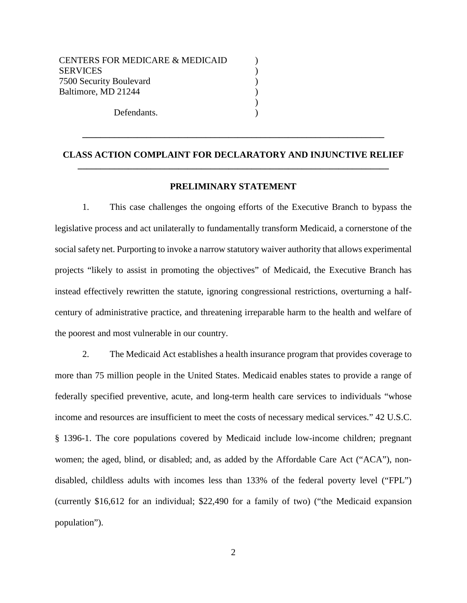Defendants.

# **CLASS ACTION COMPLAINT FOR DECLARATORY AND INJUNCTIVE RELIEF \_\_\_\_\_\_\_\_\_\_\_\_\_\_\_\_\_\_\_\_\_\_\_\_\_\_\_\_\_\_\_\_\_\_\_\_\_\_\_\_\_\_\_\_\_\_\_\_\_\_\_\_\_\_\_\_\_\_\_\_\_\_\_\_\_\_\_\_**

**\_\_\_\_\_\_\_\_\_\_\_\_\_\_\_\_\_\_\_\_\_\_\_\_\_\_\_\_\_\_\_\_\_\_\_\_\_\_\_\_\_\_\_\_\_\_\_\_\_\_\_\_\_\_\_\_\_\_\_\_\_\_\_\_\_\_**

) ) ) ) ) )

### **PRELIMINARY STATEMENT**

1. This case challenges the ongoing efforts of the Executive Branch to bypass the legislative process and act unilaterally to fundamentally transform Medicaid, a cornerstone of the social safety net. Purporting to invoke a narrow statutory waiver authority that allows experimental projects "likely to assist in promoting the objectives" of Medicaid, the Executive Branch has instead effectively rewritten the statute, ignoring congressional restrictions, overturning a halfcentury of administrative practice, and threatening irreparable harm to the health and welfare of the poorest and most vulnerable in our country.

2. The Medicaid Act establishes a health insurance program that provides coverage to more than 75 million people in the United States. Medicaid enables states to provide a range of federally specified preventive, acute, and long-term health care services to individuals "whose income and resources are insufficient to meet the costs of necessary medical services." 42 U.S.C. § 1396-1. The core populations covered by Medicaid include low-income children; pregnant women; the aged, blind, or disabled; and, as added by the Affordable Care Act ("ACA"), nondisabled, childless adults with incomes less than 133% of the federal poverty level ("FPL") (currently \$16,612 for an individual; \$22,490 for a family of two) ("the Medicaid expansion population").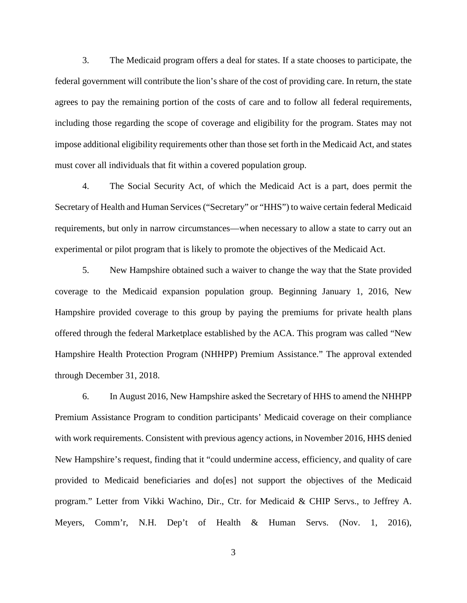3. The Medicaid program offers a deal for states. If a state chooses to participate, the federal government will contribute the lion's share of the cost of providing care. In return, the state agrees to pay the remaining portion of the costs of care and to follow all federal requirements, including those regarding the scope of coverage and eligibility for the program. States may not impose additional eligibility requirements other than those set forth in the Medicaid Act, and states must cover all individuals that fit within a covered population group.

4. The Social Security Act, of which the Medicaid Act is a part, does permit the Secretary of Health and Human Services ("Secretary" or "HHS") to waive certain federal Medicaid requirements, but only in narrow circumstances—when necessary to allow a state to carry out an experimental or pilot program that is likely to promote the objectives of the Medicaid Act.

5. New Hampshire obtained such a waiver to change the way that the State provided coverage to the Medicaid expansion population group. Beginning January 1, 2016, New Hampshire provided coverage to this group by paying the premiums for private health plans offered through the federal Marketplace established by the ACA. This program was called "New Hampshire Health Protection Program (NHHPP) Premium Assistance." The approval extended through December 31, 2018.

6. In August 2016, New Hampshire asked the Secretary of HHS to amend the NHHPP Premium Assistance Program to condition participants' Medicaid coverage on their compliance with work requirements. Consistent with previous agency actions, in November 2016, HHS denied New Hampshire's request, finding that it "could undermine access, efficiency, and quality of care provided to Medicaid beneficiaries and do[es] not support the objectives of the Medicaid program." Letter from Vikki Wachino, Dir., Ctr. for Medicaid & CHIP Servs., to Jeffrey A. Meyers, Comm'r, N.H. Dep't of Health & Human Servs. (Nov. 1, 2016),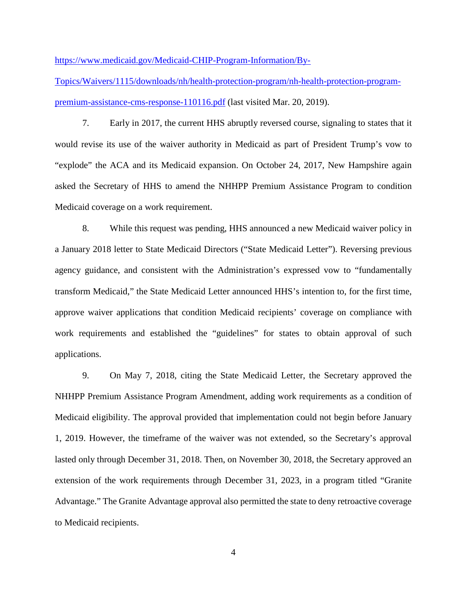https://www.medicaid.gov/Medicaid-CHIP-Program-Information/By-

Topics/Waivers/1115/downloads/nh/health-protection-program/nh-health-protection-programpremium-assistance-cms-response-110116.pdf (last visited Mar. 20, 2019).

7. Early in 2017, the current HHS abruptly reversed course, signaling to states that it would revise its use of the waiver authority in Medicaid as part of President Trump's vow to "explode" the ACA and its Medicaid expansion. On October 24, 2017, New Hampshire again asked the Secretary of HHS to amend the NHHPP Premium Assistance Program to condition Medicaid coverage on a work requirement.

8. While this request was pending, HHS announced a new Medicaid waiver policy in a January 2018 letter to State Medicaid Directors ("State Medicaid Letter"). Reversing previous agency guidance, and consistent with the Administration's expressed vow to "fundamentally transform Medicaid," the State Medicaid Letter announced HHS's intention to, for the first time, approve waiver applications that condition Medicaid recipients' coverage on compliance with work requirements and established the "guidelines" for states to obtain approval of such applications.

9. On May 7, 2018, citing the State Medicaid Letter, the Secretary approved the NHHPP Premium Assistance Program Amendment, adding work requirements as a condition of Medicaid eligibility. The approval provided that implementation could not begin before January 1, 2019. However, the timeframe of the waiver was not extended, so the Secretary's approval lasted only through December 31, 2018. Then, on November 30, 2018, the Secretary approved an extension of the work requirements through December 31, 2023, in a program titled "Granite Advantage." The Granite Advantage approval also permitted the state to deny retroactive coverage to Medicaid recipients.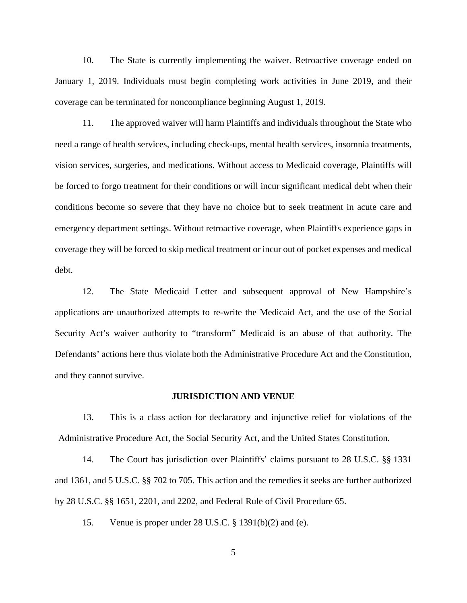10. The State is currently implementing the waiver. Retroactive coverage ended on January 1, 2019. Individuals must begin completing work activities in June 2019, and their coverage can be terminated for noncompliance beginning August 1, 2019.

11. The approved waiver will harm Plaintiffs and individuals throughout the State who need a range of health services, including check-ups, mental health services, insomnia treatments, vision services, surgeries, and medications. Without access to Medicaid coverage, Plaintiffs will be forced to forgo treatment for their conditions or will incur significant medical debt when their conditions become so severe that they have no choice but to seek treatment in acute care and emergency department settings. Without retroactive coverage, when Plaintiffs experience gaps in coverage they will be forced to skip medical treatment or incur out of pocket expenses and medical debt.

12. The State Medicaid Letter and subsequent approval of New Hampshire's applications are unauthorized attempts to re-write the Medicaid Act, and the use of the Social Security Act's waiver authority to "transform" Medicaid is an abuse of that authority. The Defendants' actions here thus violate both the Administrative Procedure Act and the Constitution, and they cannot survive.

#### **JURISDICTION AND VENUE**

13. This is a class action for declaratory and injunctive relief for violations of the Administrative Procedure Act, the Social Security Act, and the United States Constitution.

14. The Court has jurisdiction over Plaintiffs' claims pursuant to 28 U.S.C. §§ 1331 and 1361, and 5 U.S.C. §§ 702 to 705. This action and the remedies it seeks are further authorized by 28 U.S.C. §§ 1651, 2201, and 2202, and Federal Rule of Civil Procedure 65.

15. Venue is proper under 28 U.S.C. § 1391(b)(2) and (e).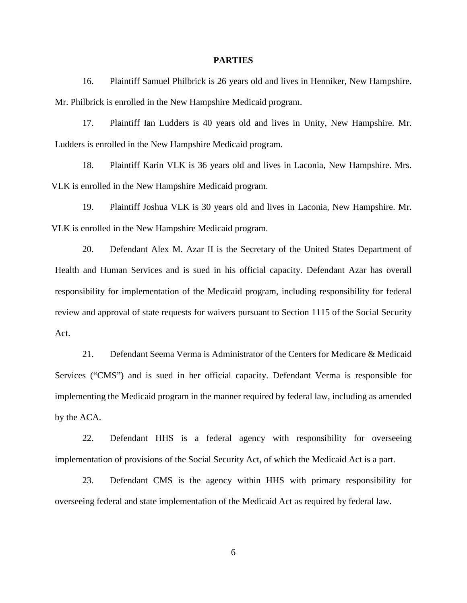#### **PARTIES**

16. Plaintiff Samuel Philbrick is 26 years old and lives in Henniker, New Hampshire. Mr. Philbrick is enrolled in the New Hampshire Medicaid program.

17. Plaintiff Ian Ludders is 40 years old and lives in Unity, New Hampshire. Mr. Ludders is enrolled in the New Hampshire Medicaid program.

18. Plaintiff Karin VLK is 36 years old and lives in Laconia, New Hampshire. Mrs. VLK is enrolled in the New Hampshire Medicaid program.

19. Plaintiff Joshua VLK is 30 years old and lives in Laconia, New Hampshire. Mr. VLK is enrolled in the New Hampshire Medicaid program.

20. Defendant Alex M. Azar II is the Secretary of the United States Department of Health and Human Services and is sued in his official capacity. Defendant Azar has overall responsibility for implementation of the Medicaid program, including responsibility for federal review and approval of state requests for waivers pursuant to Section 1115 of the Social Security Act.

21. Defendant Seema Verma is Administrator of the Centers for Medicare & Medicaid Services ("CMS") and is sued in her official capacity. Defendant Verma is responsible for implementing the Medicaid program in the manner required by federal law, including as amended by the ACA.

22. Defendant HHS is a federal agency with responsibility for overseeing implementation of provisions of the Social Security Act, of which the Medicaid Act is a part.

23. Defendant CMS is the agency within HHS with primary responsibility for overseeing federal and state implementation of the Medicaid Act as required by federal law.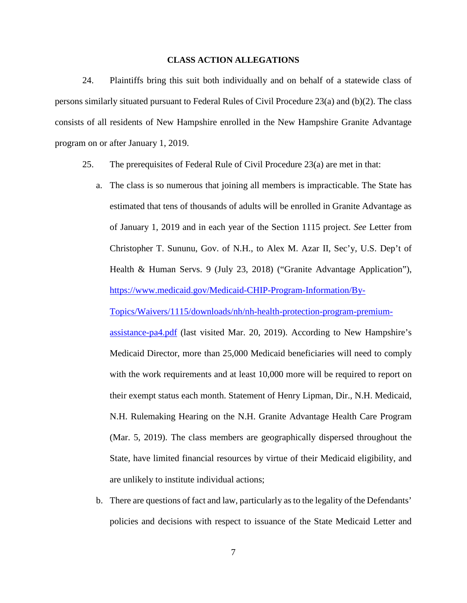#### **CLASS ACTION ALLEGATIONS**

24. Plaintiffs bring this suit both individually and on behalf of a statewide class of persons similarly situated pursuant to Federal Rules of Civil Procedure 23(a) and (b)(2). The class consists of all residents of New Hampshire enrolled in the New Hampshire Granite Advantage program on or after January 1, 2019.

- 25. The prerequisites of Federal Rule of Civil Procedure 23(a) are met in that:
	- a. The class is so numerous that joining all members is impracticable. The State has estimated that tens of thousands of adults will be enrolled in Granite Advantage as of January 1, 2019 and in each year of the Section 1115 project. *See* Letter from Christopher T. Sununu, Gov. of N.H., to Alex M. Azar II, Sec'y, U.S. Dep't of Health & Human Servs. 9 (July 23, 2018) ("Granite Advantage Application"), https://www.medicaid.gov/Medicaid-CHIP-Program-Information/By-

Topics/Waivers/1115/downloads/nh/nh-health-protection-program-premium-

assistance-pa4.pdf (last visited Mar. 20, 2019). According to New Hampshire's Medicaid Director, more than 25,000 Medicaid beneficiaries will need to comply with the work requirements and at least 10,000 more will be required to report on their exempt status each month. Statement of Henry Lipman, Dir., N.H. Medicaid, N.H. Rulemaking Hearing on the N.H. Granite Advantage Health Care Program (Mar. 5, 2019). The class members are geographically dispersed throughout the State, have limited financial resources by virtue of their Medicaid eligibility, and are unlikely to institute individual actions;

b. There are questions of fact and law, particularly as to the legality of the Defendants' policies and decisions with respect to issuance of the State Medicaid Letter and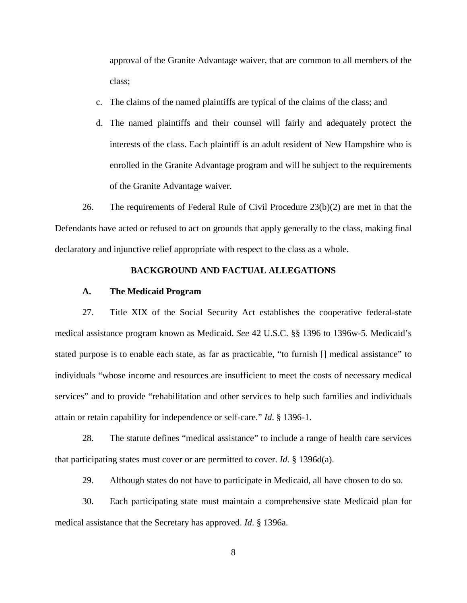approval of the Granite Advantage waiver, that are common to all members of the class;

- c. The claims of the named plaintiffs are typical of the claims of the class; and
- d. The named plaintiffs and their counsel will fairly and adequately protect the interests of the class. Each plaintiff is an adult resident of New Hampshire who is enrolled in the Granite Advantage program and will be subject to the requirements of the Granite Advantage waiver.

26. The requirements of Federal Rule of Civil Procedure 23(b)(2) are met in that the Defendants have acted or refused to act on grounds that apply generally to the class, making final declaratory and injunctive relief appropriate with respect to the class as a whole.

### **BACKGROUND AND FACTUAL ALLEGATIONS**

#### **A. The Medicaid Program**

27. Title XIX of the Social Security Act establishes the cooperative federal-state medical assistance program known as Medicaid. *See* 42 U.S.C. §§ 1396 to 1396w-5. Medicaid's stated purpose is to enable each state, as far as practicable, "to furnish [] medical assistance" to individuals "whose income and resources are insufficient to meet the costs of necessary medical services" and to provide "rehabilitation and other services to help such families and individuals attain or retain capability for independence or self-care." *Id*. § 1396-1.

28. The statute defines "medical assistance" to include a range of health care services that participating states must cover or are permitted to cover. *Id.* § 1396d(a).

29. Although states do not have to participate in Medicaid, all have chosen to do so.

30. Each participating state must maintain a comprehensive state Medicaid plan for medical assistance that the Secretary has approved. *Id*. § 1396a.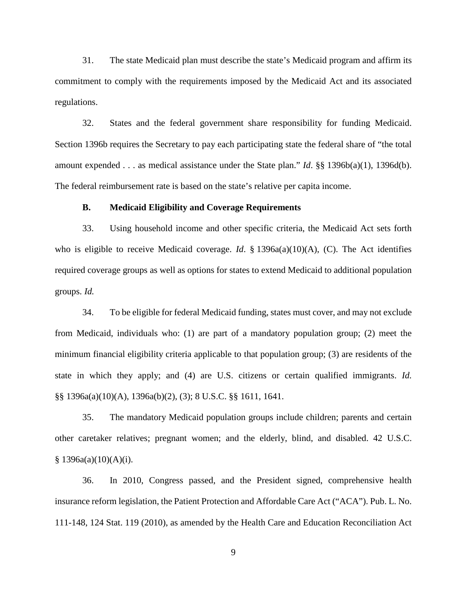31. The state Medicaid plan must describe the state's Medicaid program and affirm its commitment to comply with the requirements imposed by the Medicaid Act and its associated regulations.

32. States and the federal government share responsibility for funding Medicaid. Section 1396b requires the Secretary to pay each participating state the federal share of "the total amount expended . . . as medical assistance under the State plan." *Id*. §§ 1396b(a)(1), 1396d(b). The federal reimbursement rate is based on the state's relative per capita income.

### **B. Medicaid Eligibility and Coverage Requirements**

33. Using household income and other specific criteria, the Medicaid Act sets forth who is eligible to receive Medicaid coverage. *Id.* § 1396a(a)(10)(A), (C). The Act identifies required coverage groups as well as options for states to extend Medicaid to additional population groups. *Id.*

34. To be eligible for federal Medicaid funding, states must cover, and may not exclude from Medicaid, individuals who: (1) are part of a mandatory population group; (2) meet the minimum financial eligibility criteria applicable to that population group; (3) are residents of the state in which they apply; and (4) are U.S. citizens or certain qualified immigrants. *Id.* §§ 1396a(a)(10)(A), 1396a(b)(2), (3); 8 U.S.C. §§ 1611, 1641.

35. The mandatory Medicaid population groups include children; parents and certain other caretaker relatives; pregnant women; and the elderly, blind, and disabled. 42 U.S.C.  $§ 1396a(a)(10)(A)(i).$ 

36. In 2010, Congress passed, and the President signed, comprehensive health insurance reform legislation, the Patient Protection and Affordable Care Act ("ACA"). Pub. L. No. 111-148, 124 Stat. 119 (2010), as amended by the Health Care and Education Reconciliation Act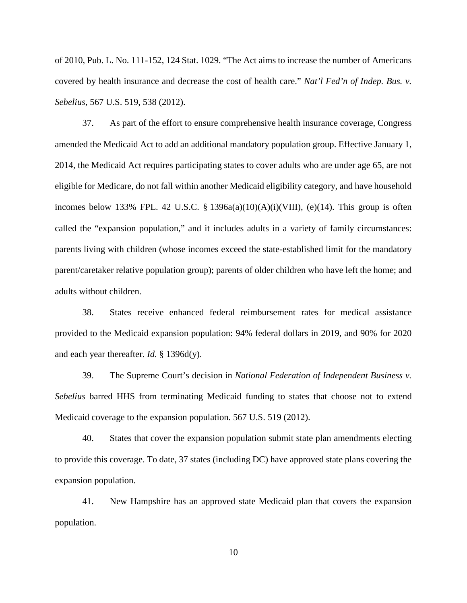of 2010, Pub. L. No. 111-152, 124 Stat. 1029. "The Act aims to increase the number of Americans covered by health insurance and decrease the cost of health care." *Nat'l Fed'n of Indep. Bus. v. Sebelius*, 567 U.S. 519, 538 (2012).

37. As part of the effort to ensure comprehensive health insurance coverage, Congress amended the Medicaid Act to add an additional mandatory population group. Effective January 1, 2014, the Medicaid Act requires participating states to cover adults who are under age 65, are not eligible for Medicare, do not fall within another Medicaid eligibility category, and have household incomes below 133% FPL. 42 U.S.C. § 1396a(a)(10)(A)(i)(VIII), (e)(14). This group is often called the "expansion population," and it includes adults in a variety of family circumstances: parents living with children (whose incomes exceed the state-established limit for the mandatory parent/caretaker relative population group); parents of older children who have left the home; and adults without children.

38. States receive enhanced federal reimbursement rates for medical assistance provided to the Medicaid expansion population: 94% federal dollars in 2019, and 90% for 2020 and each year thereafter. *Id.* § 1396d(y).

39. The Supreme Court's decision in *National Federation of Independent Business v. Sebelius* barred HHS from terminating Medicaid funding to states that choose not to extend Medicaid coverage to the expansion population. 567 U.S. 519 (2012).

40. States that cover the expansion population submit state plan amendments electing to provide this coverage. To date, 37 states (including DC) have approved state plans covering the expansion population.

41. New Hampshire has an approved state Medicaid plan that covers the expansion population.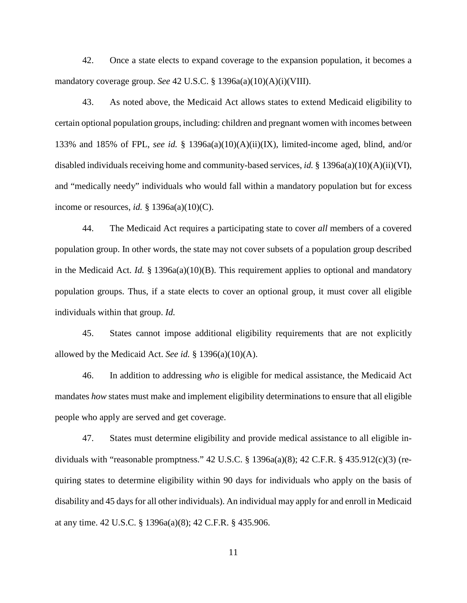42. Once a state elects to expand coverage to the expansion population, it becomes a mandatory coverage group. *See* 42 U.S.C. § 1396a(a)(10)(A)(i)(VIII).

43. As noted above, the Medicaid Act allows states to extend Medicaid eligibility to certain optional population groups, including: children and pregnant women with incomes between 133% and 185% of FPL, *see id.* § 1396a(a)(10)(A)(ii)(IX), limited-income aged, blind, and/or disabled individuals receiving home and community-based services, *id.* § 1396a(a)(10)(A)(ii)(VI), and "medically needy" individuals who would fall within a mandatory population but for excess income or resources, *id.* § 1396a(a)(10)(C).

44. The Medicaid Act requires a participating state to cover *all* members of a covered population group. In other words, the state may not cover subsets of a population group described in the Medicaid Act. *Id.* § 1396a(a)(10)(B). This requirement applies to optional and mandatory population groups. Thus, if a state elects to cover an optional group, it must cover all eligible individuals within that group. *Id.* 

45. States cannot impose additional eligibility requirements that are not explicitly allowed by the Medicaid Act. *See id.* § 1396(a)(10)(A).

46. In addition to addressing *who* is eligible for medical assistance, the Medicaid Act mandates *how* states must make and implement eligibility determinations to ensure that all eligible people who apply are served and get coverage.

47. States must determine eligibility and provide medical assistance to all eligible individuals with "reasonable promptness." 42 U.S.C. § 1396a(a)(8); 42 C.F.R. § 435.912(c)(3) (requiring states to determine eligibility within 90 days for individuals who apply on the basis of disability and 45 days for all other individuals). An individual may apply for and enroll in Medicaid at any time. 42 U.S.C. § 1396a(a)(8); 42 C.F.R. § 435.906.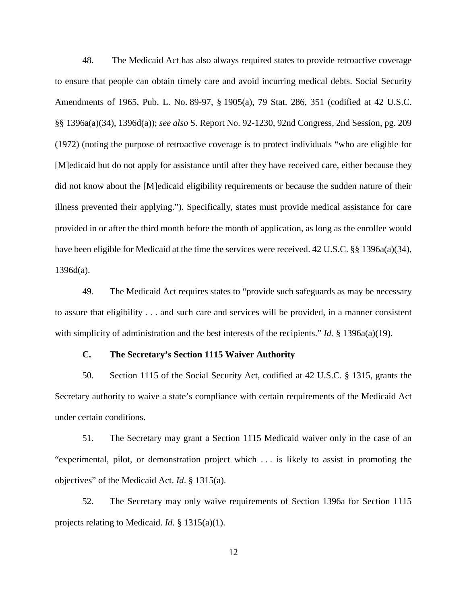48. The Medicaid Act has also always required states to provide retroactive coverage to ensure that people can obtain timely care and avoid incurring medical debts. Social Security Amendments of 1965, Pub. L. No. 89-97, § 1905(a), 79 Stat. 286, 351 (codified at 42 U.S.C. §§ 1396a(a)(34), 1396d(a)); *see also* S. Report No. 92-1230, 92nd Congress, 2nd Session, pg. 209 (1972) (noting the purpose of retroactive coverage is to protect individuals "who are eligible for [M]edicaid but do not apply for assistance until after they have received care, either because they did not know about the [M]edicaid eligibility requirements or because the sudden nature of their illness prevented their applying."). Specifically, states must provide medical assistance for care provided in or after the third month before the month of application, as long as the enrollee would have been eligible for Medicaid at the time the services were received. 42 U.S.C. §§ 1396a(a)(34),  $1396d(a)$ .

49. The Medicaid Act requires states to "provide such safeguards as may be necessary to assure that eligibility . . . and such care and services will be provided, in a manner consistent with simplicity of administration and the best interests of the recipients." *Id.* § 1396a(a)(19).

### **C. The Secretary's Section 1115 Waiver Authority**

50. Section 1115 of the Social Security Act, codified at 42 U.S.C. § 1315, grants the Secretary authority to waive a state's compliance with certain requirements of the Medicaid Act under certain conditions.

51. The Secretary may grant a Section 1115 Medicaid waiver only in the case of an "experimental, pilot, or demonstration project which . . . is likely to assist in promoting the objectives" of the Medicaid Act. *Id*. § 1315(a).

52. The Secretary may only waive requirements of Section 1396a for Section 1115 projects relating to Medicaid. *Id*. § 1315(a)(1).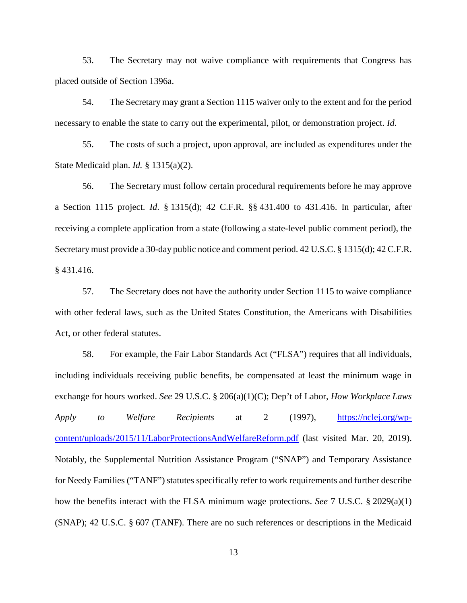53. The Secretary may not waive compliance with requirements that Congress has placed outside of Section 1396a.

54. The Secretary may grant a Section 1115 waiver only to the extent and for the period necessary to enable the state to carry out the experimental, pilot, or demonstration project. *Id*.

55. The costs of such a project, upon approval, are included as expenditures under the State Medicaid plan. *Id.* § 1315(a)(2).

56. The Secretary must follow certain procedural requirements before he may approve a Section 1115 project. *Id*. § 1315(d); 42 C.F.R. §§ 431.400 to 431.416. In particular, after receiving a complete application from a state (following a state-level public comment period), the Secretary must provide a 30-day public notice and comment period. 42 U.S.C. § 1315(d); 42 C.F.R. § 431.416.

57. The Secretary does not have the authority under Section 1115 to waive compliance with other federal laws, such as the United States Constitution, the Americans with Disabilities Act, or other federal statutes.

58. For example, the Fair Labor Standards Act ("FLSA") requires that all individuals, including individuals receiving public benefits, be compensated at least the minimum wage in exchange for hours worked. *See* 29 U.S.C. § 206(a)(1)(C); Dep't of Labor, *How Workplace Laws Apply to Welfare Recipients* at 2 (1997), https://nclej.org/wpcontent/uploads/2015/11/LaborProtectionsAndWelfareReform.pdf (last visited Mar. 20, 2019). Notably, the Supplemental Nutrition Assistance Program ("SNAP") and Temporary Assistance for Needy Families ("TANF") statutes specifically refer to work requirements and further describe how the benefits interact with the FLSA minimum wage protections. *See* 7 U.S.C. § 2029(a)(1) (SNAP); 42 U.S.C. § 607 (TANF). There are no such references or descriptions in the Medicaid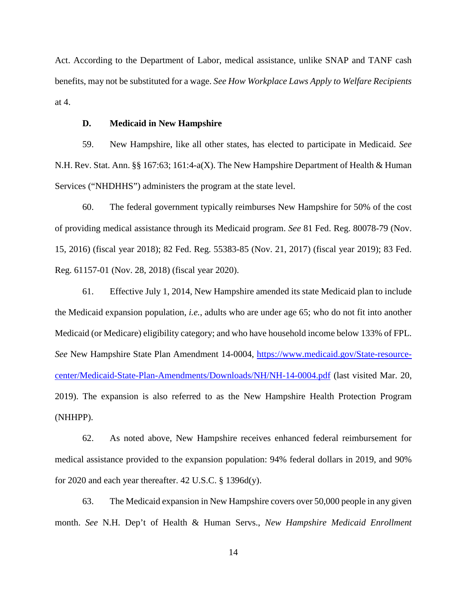Act. According to the Department of Labor, medical assistance, unlike SNAP and TANF cash benefits, may not be substituted for a wage. *See How Workplace Laws Apply to Welfare Recipients* at 4.

#### **D. Medicaid in New Hampshire**

59. New Hampshire, like all other states, has elected to participate in Medicaid. *See* N.H. Rev. Stat. Ann. §§ 167:63; 161:4-a(X). The New Hampshire Department of Health & Human Services ("NHDHHS") administers the program at the state level.

60. The federal government typically reimburses New Hampshire for 50% of the cost of providing medical assistance through its Medicaid program. *See* 81 Fed. Reg. 80078-79 (Nov. 15, 2016) (fiscal year 2018); 82 Fed. Reg. 55383-85 (Nov. 21, 2017) (fiscal year 2019); 83 Fed. Reg. 61157-01 (Nov. 28, 2018) (fiscal year 2020).

61. Effective July 1, 2014, New Hampshire amended its state Medicaid plan to include the Medicaid expansion population, *i.e.*, adults who are under age 65; who do not fit into another Medicaid (or Medicare) eligibility category; and who have household income below 133% of FPL. *See* New Hampshire State Plan Amendment 14-0004, https://www.medicaid.gov/State-resourcecenter/Medicaid-State-Plan-Amendments/Downloads/NH/NH-14-0004.pdf (last visited Mar. 20, 2019). The expansion is also referred to as the New Hampshire Health Protection Program (NHHPP).

62. As noted above, New Hampshire receives enhanced federal reimbursement for medical assistance provided to the expansion population: 94% federal dollars in 2019, and 90% for 2020 and each year thereafter. 42 U.S.C. § 1396d(y).

63. The Medicaid expansion in New Hampshire covers over 50,000 people in any given month. *See* N.H. Dep't of Health & Human Servs., *New Hampshire Medicaid Enrollment*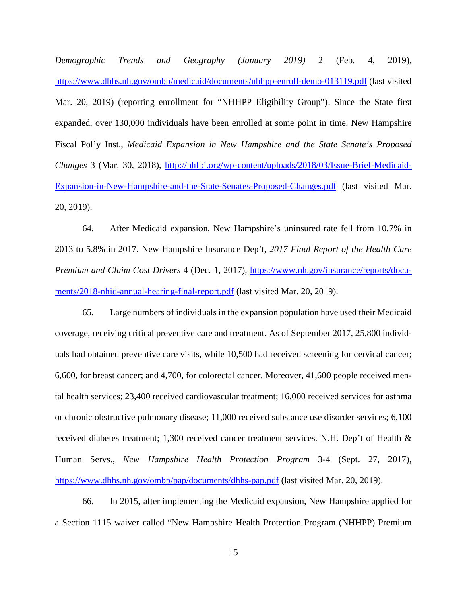*Demographic Trends and Geography (January 2019)* 2 (Feb. 4, 2019), https://www.dhhs.nh.gov/ombp/medicaid/documents/nhhpp-enroll-demo-013119.pdf (last visited Mar. 20, 2019) (reporting enrollment for "NHHPP Eligibility Group"). Since the State first expanded, over 130,000 individuals have been enrolled at some point in time. New Hampshire Fiscal Pol'y Inst., *Medicaid Expansion in New Hampshire and the State Senate's Proposed Changes* 3 (Mar. 30, 2018), http://nhfpi.org/wp-content/uploads/2018/03/Issue-Brief-Medicaid-Expansion-in-New-Hampshire-and-the-State-Senates-Proposed-Changes.pdf (last visited Mar. 20, 2019).

64. After Medicaid expansion, New Hampshire's uninsured rate fell from 10.7% in 2013 to 5.8% in 2017. New Hampshire Insurance Dep't, *2017 Final Report of the Health Care Premium and Claim Cost Drivers* 4 (Dec. 1, 2017), https://www.nh.gov/insurance/reports/documents/2018-nhid-annual-hearing-final-report.pdf (last visited Mar. 20, 2019).

65. Large numbers of individuals in the expansion population have used their Medicaid coverage, receiving critical preventive care and treatment. As of September 2017, 25,800 individuals had obtained preventive care visits, while 10,500 had received screening for cervical cancer; 6,600, for breast cancer; and 4,700, for colorectal cancer. Moreover, 41,600 people received mental health services; 23,400 received cardiovascular treatment; 16,000 received services for asthma or chronic obstructive pulmonary disease; 11,000 received substance use disorder services; 6,100 received diabetes treatment; 1,300 received cancer treatment services. N.H. Dep't of Health & Human Servs., *New Hampshire Health Protection Program* 3-4 (Sept. 27, 2017), https://www.dhhs.nh.gov/ombp/pap/documents/dhhs-pap.pdf (last visited Mar. 20, 2019).

66. In 2015, after implementing the Medicaid expansion, New Hampshire applied for a Section 1115 waiver called "New Hampshire Health Protection Program (NHHPP) Premium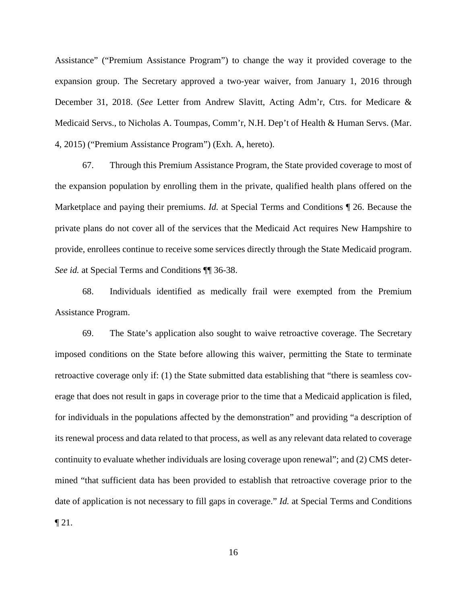Assistance" ("Premium Assistance Program") to change the way it provided coverage to the expansion group. The Secretary approved a two-year waiver, from January 1, 2016 through December 31, 2018. (*See* Letter from Andrew Slavitt, Acting Adm'r, Ctrs. for Medicare & Medicaid Servs., to Nicholas A. Toumpas, Comm'r, N.H. Dep't of Health & Human Servs. (Mar. 4, 2015) ("Premium Assistance Program") (Exh. A, hereto).

67. Through this Premium Assistance Program, the State provided coverage to most of the expansion population by enrolling them in the private, qualified health plans offered on the Marketplace and paying their premiums. *Id.* at Special Terms and Conditions ¶ 26. Because the private plans do not cover all of the services that the Medicaid Act requires New Hampshire to provide, enrollees continue to receive some services directly through the State Medicaid program. *See id.* at Special Terms and Conditions ¶¶ 36-38.

68. Individuals identified as medically frail were exempted from the Premium Assistance Program.

69. The State's application also sought to waive retroactive coverage. The Secretary imposed conditions on the State before allowing this waiver, permitting the State to terminate retroactive coverage only if: (1) the State submitted data establishing that "there is seamless coverage that does not result in gaps in coverage prior to the time that a Medicaid application is filed, for individuals in the populations affected by the demonstration" and providing "a description of its renewal process and data related to that process, as well as any relevant data related to coverage continuity to evaluate whether individuals are losing coverage upon renewal"; and (2) CMS determined "that sufficient data has been provided to establish that retroactive coverage prior to the date of application is not necessary to fill gaps in coverage." *Id.* at Special Terms and Conditions  $\P$  21.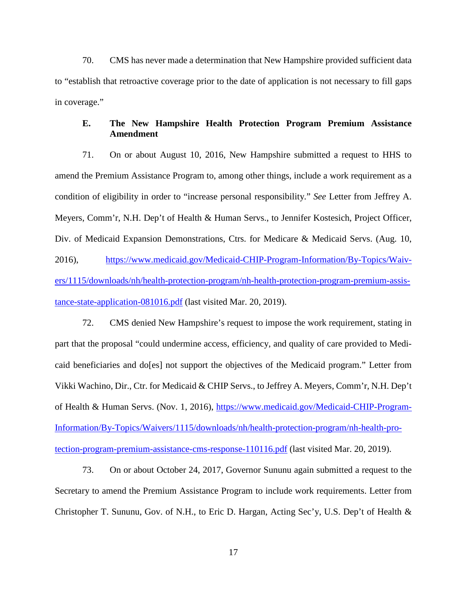70. CMS has never made a determination that New Hampshire provided sufficient data to "establish that retroactive coverage prior to the date of application is not necessary to fill gaps in coverage."

## **E. The New Hampshire Health Protection Program Premium Assistance Amendment**

71. On or about August 10, 2016, New Hampshire submitted a request to HHS to amend the Premium Assistance Program to, among other things, include a work requirement as a condition of eligibility in order to "increase personal responsibility." *See* Letter from Jeffrey A. Meyers, Comm'r, N.H. Dep't of Health & Human Servs., to Jennifer Kostesich, Project Officer, Div. of Medicaid Expansion Demonstrations, Ctrs. for Medicare & Medicaid Servs. (Aug. 10, 2016), https://www.medicaid.gov/Medicaid-CHIP-Program-Information/By-Topics/Waivers/1115/downloads/nh/health-protection-program/nh-health-protection-program-premium-assistance-state-application-081016.pdf (last visited Mar. 20, 2019).

72. CMS denied New Hampshire's request to impose the work requirement, stating in part that the proposal "could undermine access, efficiency, and quality of care provided to Medicaid beneficiaries and do[es] not support the objectives of the Medicaid program." Letter from Vikki Wachino, Dir., Ctr. for Medicaid & CHIP Servs., to Jeffrey A. Meyers, Comm'r, N.H. Dep't of Health & Human Servs. (Nov. 1, 2016), https://www.medicaid.gov/Medicaid-CHIP-Program-Information/By-Topics/Waivers/1115/downloads/nh/health-protection-program/nh-health-protection-program-premium-assistance-cms-response-110116.pdf (last visited Mar. 20, 2019).

73. On or about October 24, 2017, Governor Sununu again submitted a request to the Secretary to amend the Premium Assistance Program to include work requirements. Letter from Christopher T. Sununu, Gov. of N.H., to Eric D. Hargan, Acting Sec'y, U.S. Dep't of Health &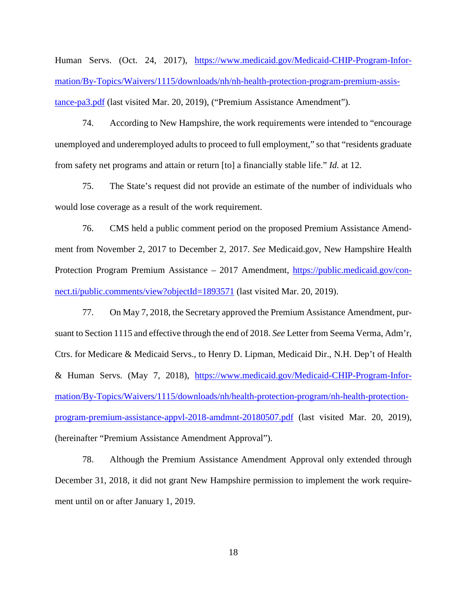Human Servs. (Oct. 24, 2017), https://www.medicaid.gov/Medicaid-CHIP-Program-Information/By-Topics/Waivers/1115/downloads/nh/nh-health-protection-program-premium-assistance-pa3.pdf (last visited Mar. 20, 2019), ("Premium Assistance Amendment").

74. According to New Hampshire, the work requirements were intended to "encourage unemployed and underemployed adults to proceed to full employment," so that "residents graduate from safety net programs and attain or return [to] a financially stable life." *Id.* at 12.

75. The State's request did not provide an estimate of the number of individuals who would lose coverage as a result of the work requirement.

76. CMS held a public comment period on the proposed Premium Assistance Amendment from November 2, 2017 to December 2, 2017. *See* Medicaid.gov, New Hampshire Health Protection Program Premium Assistance – 2017 Amendment, https://public.medicaid.gov/connect.ti/public.comments/view?objectId=1893571 (last visited Mar. 20, 2019).

77. On May 7, 2018, the Secretary approved the Premium Assistance Amendment, pursuant to Section 1115 and effective through the end of 2018. *See* Letter from Seema Verma, Adm'r, Ctrs. for Medicare & Medicaid Servs., to Henry D. Lipman, Medicaid Dir., N.H. Dep't of Health & Human Servs. (May 7, 2018), https://www.medicaid.gov/Medicaid-CHIP-Program-Information/By-Topics/Waivers/1115/downloads/nh/health-protection-program/nh-health-protectionprogram-premium-assistance-appvl-2018-amdmnt-20180507.pdf (last visited Mar. 20, 2019), (hereinafter "Premium Assistance Amendment Approval").

78. Although the Premium Assistance Amendment Approval only extended through December 31, 2018, it did not grant New Hampshire permission to implement the work requirement until on or after January 1, 2019.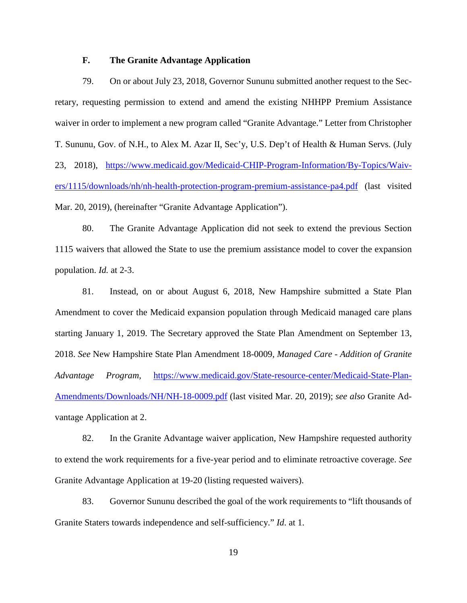### **F. The Granite Advantage Application**

79. On or about July 23, 2018, Governor Sununu submitted another request to the Secretary, requesting permission to extend and amend the existing NHHPP Premium Assistance waiver in order to implement a new program called "Granite Advantage." Letter from Christopher T. Sununu, Gov. of N.H., to Alex M. Azar II, Sec'y, U.S. Dep't of Health & Human Servs. (July 23, 2018), https://www.medicaid.gov/Medicaid-CHIP-Program-Information/By-Topics/Waivers/1115/downloads/nh/nh-health-protection-program-premium-assistance-pa4.pdf (last visited Mar. 20, 2019), (hereinafter "Granite Advantage Application").

80. The Granite Advantage Application did not seek to extend the previous Section 1115 waivers that allowed the State to use the premium assistance model to cover the expansion population. *Id.* at 2-3.

81. Instead, on or about August 6, 2018, New Hampshire submitted a State Plan Amendment to cover the Medicaid expansion population through Medicaid managed care plans starting January 1, 2019. The Secretary approved the State Plan Amendment on September 13, 2018. *See* New Hampshire State Plan Amendment 18-0009, *Managed Care - Addition of Granite Advantage Program,* https://www.medicaid.gov/State-resource-center/Medicaid-State-Plan-Amendments/Downloads/NH/NH-18-0009.pdf (last visited Mar. 20, 2019); *see also* Granite Advantage Application at 2.

82. In the Granite Advantage waiver application, New Hampshire requested authority to extend the work requirements for a five-year period and to eliminate retroactive coverage. *See*  Granite Advantage Application at 19-20 (listing requested waivers).

83. Governor Sununu described the goal of the work requirements to "lift thousands of Granite Staters towards independence and self-sufficiency." *Id*. at 1.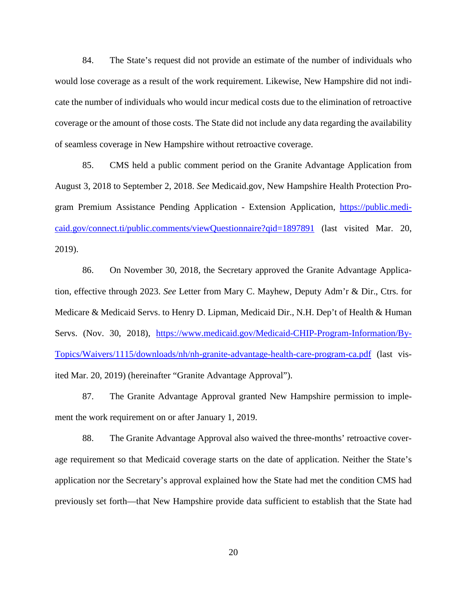84. The State's request did not provide an estimate of the number of individuals who would lose coverage as a result of the work requirement. Likewise, New Hampshire did not indicate the number of individuals who would incur medical costs due to the elimination of retroactive coverage or the amount of those costs. The State did not include any data regarding the availability of seamless coverage in New Hampshire without retroactive coverage.

85. CMS held a public comment period on the Granite Advantage Application from August 3, 2018 to September 2, 2018. *See* Medicaid.gov, New Hampshire Health Protection Program Premium Assistance Pending Application - Extension Application, https://public.medicaid.gov/connect.ti/public.comments/viewQuestionnaire?qid=1897891 (last visited Mar. 20, 2019).

86. On November 30, 2018, the Secretary approved the Granite Advantage Application, effective through 2023. *See* Letter from Mary C. Mayhew, Deputy Adm'r & Dir., Ctrs. for Medicare & Medicaid Servs. to Henry D. Lipman, Medicaid Dir., N.H. Dep't of Health & Human Servs. (Nov. 30, 2018), https://www.medicaid.gov/Medicaid-CHIP-Program-Information/By-Topics/Waivers/1115/downloads/nh/nh-granite-advantage-health-care-program-ca.pdf (last visited Mar. 20, 2019) (hereinafter "Granite Advantage Approval").

87. The Granite Advantage Approval granted New Hampshire permission to implement the work requirement on or after January 1, 2019.

88. The Granite Advantage Approval also waived the three-months' retroactive coverage requirement so that Medicaid coverage starts on the date of application. Neither the State's application nor the Secretary's approval explained how the State had met the condition CMS had previously set forth—that New Hampshire provide data sufficient to establish that the State had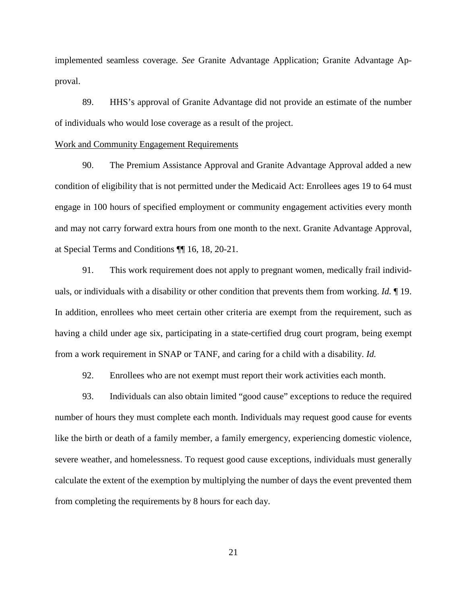implemented seamless coverage. *See* Granite Advantage Application; Granite Advantage Approval.

89. HHS's approval of Granite Advantage did not provide an estimate of the number of individuals who would lose coverage as a result of the project.

### Work and Community Engagement Requirements

90. The Premium Assistance Approval and Granite Advantage Approval added a new condition of eligibility that is not permitted under the Medicaid Act: Enrollees ages 19 to 64 must engage in 100 hours of specified employment or community engagement activities every month and may not carry forward extra hours from one month to the next. Granite Advantage Approval, at Special Terms and Conditions ¶¶ 16, 18, 20-21.

91. This work requirement does not apply to pregnant women, medically frail individuals, or individuals with a disability or other condition that prevents them from working. *Id.* ¶ 19. In addition, enrollees who meet certain other criteria are exempt from the requirement, such as having a child under age six, participating in a state-certified drug court program, being exempt from a work requirement in SNAP or TANF, and caring for a child with a disability. *Id.*

92. Enrollees who are not exempt must report their work activities each month.

93. Individuals can also obtain limited "good cause" exceptions to reduce the required number of hours they must complete each month. Individuals may request good cause for events like the birth or death of a family member, a family emergency, experiencing domestic violence, severe weather, and homelessness. To request good cause exceptions, individuals must generally calculate the extent of the exemption by multiplying the number of days the event prevented them from completing the requirements by 8 hours for each day.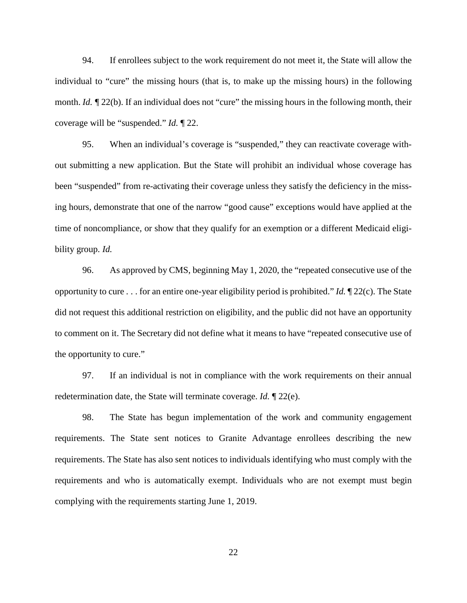94. If enrollees subject to the work requirement do not meet it, the State will allow the individual to "cure" the missing hours (that is, to make up the missing hours) in the following month. *Id.*  $\P$  22(b). If an individual does not "cure" the missing hours in the following month, their coverage will be "suspended." *Id.* ¶ 22.

95. When an individual's coverage is "suspended," they can reactivate coverage without submitting a new application. But the State will prohibit an individual whose coverage has been "suspended" from re-activating their coverage unless they satisfy the deficiency in the missing hours, demonstrate that one of the narrow "good cause" exceptions would have applied at the time of noncompliance, or show that they qualify for an exemption or a different Medicaid eligibility group. *Id.*

96. As approved by CMS, beginning May 1, 2020, the "repeated consecutive use of the opportunity to cure . . . for an entire one-year eligibility period is prohibited." *Id.* ¶ 22(c). The State did not request this additional restriction on eligibility, and the public did not have an opportunity to comment on it. The Secretary did not define what it means to have "repeated consecutive use of the opportunity to cure."

97. If an individual is not in compliance with the work requirements on their annual redetermination date, the State will terminate coverage. *Id.* ¶ 22(e).

98. The State has begun implementation of the work and community engagement requirements. The State sent notices to Granite Advantage enrollees describing the new requirements. The State has also sent notices to individuals identifying who must comply with the requirements and who is automatically exempt. Individuals who are not exempt must begin complying with the requirements starting June 1, 2019.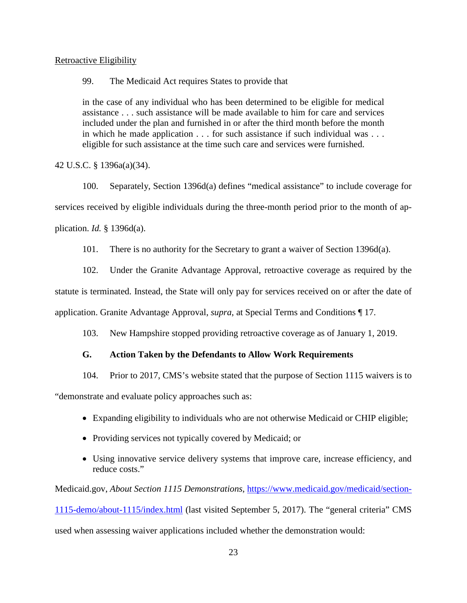### Retroactive Eligibility

99. The Medicaid Act requires States to provide that

in the case of any individual who has been determined to be eligible for medical assistance . . . such assistance will be made available to him for care and services included under the plan and furnished in or after the third month before the month in which he made application . . . for such assistance if such individual was . . . eligible for such assistance at the time such care and services were furnished.

42 U.S.C. § 1396a(a)(34).

100. Separately, Section 1396d(a) defines "medical assistance" to include coverage for services received by eligible individuals during the three-month period prior to the month of application. *Id.* § 1396d(a).

101. There is no authority for the Secretary to grant a waiver of Section 1396d(a).

102. Under the Granite Advantage Approval, retroactive coverage as required by the statute is terminated. Instead, the State will only pay for services received on or after the date of application. Granite Advantage Approval, *supra*, at Special Terms and Conditions ¶ 17.

103. New Hampshire stopped providing retroactive coverage as of January 1, 2019.

# **G. Action Taken by the Defendants to Allow Work Requirements**

104. Prior to 2017, CMS's website stated that the purpose of Section 1115 waivers is to "demonstrate and evaluate policy approaches such as:

- Expanding eligibility to individuals who are not otherwise Medicaid or CHIP eligible;
- Providing services not typically covered by Medicaid; or
- Using innovative service delivery systems that improve care, increase efficiency, and reduce costs."

Medicaid.gov, *About Section 1115 Demonstrations*, https://www.medicaid.gov/medicaid/section-1115-demo/about-1115/index.html (last visited September 5, 2017). The "general criteria" CMS used when assessing waiver applications included whether the demonstration would: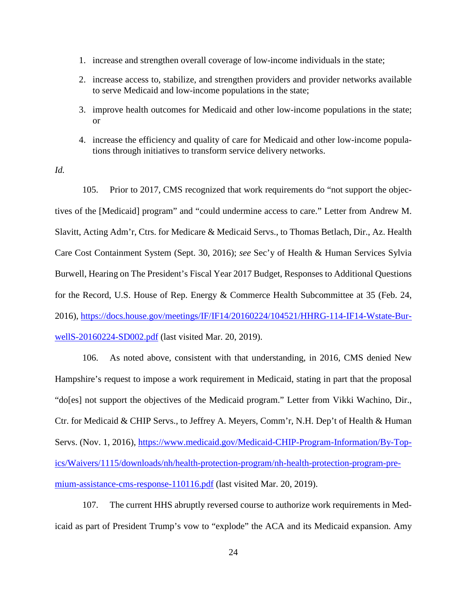- 1. increase and strengthen overall coverage of low-income individuals in the state;
- 2. increase access to, stabilize, and strengthen providers and provider networks available to serve Medicaid and low-income populations in the state;
- 3. improve health outcomes for Medicaid and other low-income populations in the state; or
- 4. increase the efficiency and quality of care for Medicaid and other low-income populations through initiatives to transform service delivery networks.
- *Id.*

105. Prior to 2017, CMS recognized that work requirements do "not support the objectives of the [Medicaid] program" and "could undermine access to care." Letter from Andrew M. Slavitt, Acting Adm'r, Ctrs. for Medicare & Medicaid Servs., to Thomas Betlach, Dir., Az. Health Care Cost Containment System (Sept. 30, 2016); *see* Sec'y of Health & Human Services Sylvia Burwell, Hearing on The President's Fiscal Year 2017 Budget, Responses to Additional Questions for the Record, U.S. House of Rep. Energy & Commerce Health Subcommittee at 35 (Feb. 24, 2016), https://docs.house.gov/meetings/IF/IF14/20160224/104521/HHRG-114-IF14-Wstate-BurwellS-20160224-SD002.pdf (last visited Mar. 20, 2019).

106. As noted above, consistent with that understanding, in 2016, CMS denied New Hampshire's request to impose a work requirement in Medicaid, stating in part that the proposal "do[es] not support the objectives of the Medicaid program." Letter from Vikki Wachino, Dir., Ctr. for Medicaid & CHIP Servs., to Jeffrey A. Meyers, Comm'r, N.H. Dep't of Health & Human Servs. (Nov. 1, 2016), https://www.medicaid.gov/Medicaid-CHIP-Program-Information/By-Topics/Waivers/1115/downloads/nh/health-protection-program/nh-health-protection-program-premium-assistance-cms-response-110116.pdf (last visited Mar. 20, 2019).

107. The current HHS abruptly reversed course to authorize work requirements in Medicaid as part of President Trump's vow to "explode" the ACA and its Medicaid expansion. Amy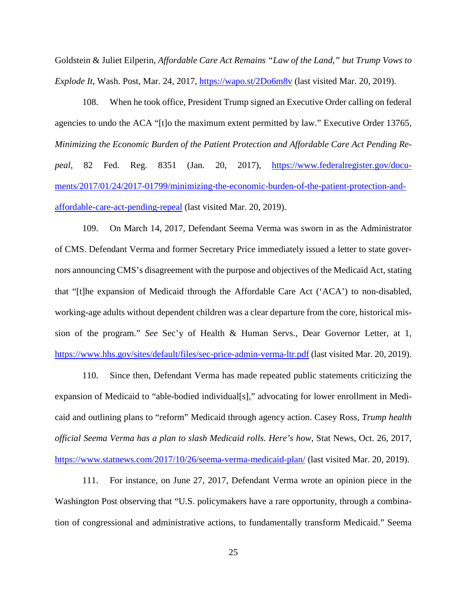Goldstein & Juliet Eilperin, *Affordable Care Act Remains "Law of the Land," but Trump Vows to Explode It*, Wash. Post, Mar. 24, 2017, https://wapo.st/2Do6m8v (last visited Mar. 20, 2019).

108. When he took office, President Trump signed an Executive Order calling on federal agencies to undo the ACA "[t]o the maximum extent permitted by law." Executive Order 13765, *Minimizing the Economic Burden of the Patient Protection and Affordable Care Act Pending Repeal,* 82 Fed. Reg. 8351 (Jan. 20, 2017), https://www.federalregister.gov/documents/2017/01/24/2017-01799/minimizing-the-economic-burden-of-the-patient-protection-andaffordable-care-act-pending-repeal (last visited Mar. 20, 2019).

109. On March 14, 2017, Defendant Seema Verma was sworn in as the Administrator of CMS. Defendant Verma and former Secretary Price immediately issued a letter to state governors announcing CMS's disagreement with the purpose and objectives of the Medicaid Act, stating that "[t]he expansion of Medicaid through the Affordable Care Act ('ACA') to non-disabled, working-age adults without dependent children was a clear departure from the core, historical mission of the program." *See* Sec'y of Health & Human Servs., Dear Governor Letter, at 1, https://www.hhs.gov/sites/default/files/sec-price-admin-verma-ltr.pdf (last visited Mar. 20, 2019).

110. Since then, Defendant Verma has made repeated public statements criticizing the expansion of Medicaid to "able-bodied individual[s]," advocating for lower enrollment in Medicaid and outlining plans to "reform" Medicaid through agency action. Casey Ross, *Trump health official Seema Verma has a plan to slash Medicaid rolls. Here's how*, Stat News, Oct. 26, 2017, https://www.statnews.com/2017/10/26/seema-verma-medicaid-plan/ (last visited Mar. 20, 2019).

111. For instance, on June 27, 2017, Defendant Verma wrote an opinion piece in the Washington Post observing that "U.S. policymakers have a rare opportunity, through a combination of congressional and administrative actions, to fundamentally transform Medicaid." Seema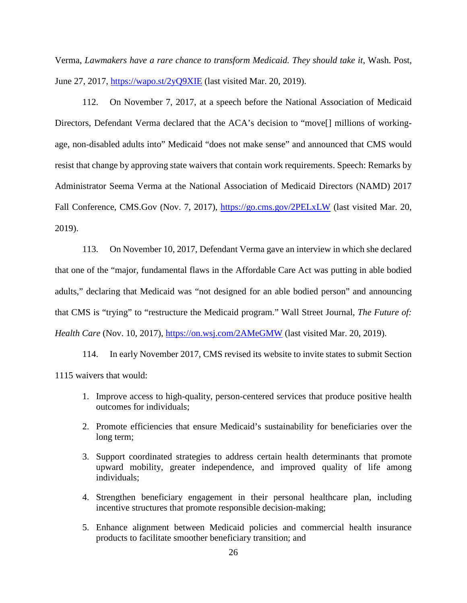Verma, *Lawmakers have a rare chance to transform Medicaid. They should take it*, Wash. Post, June 27, 2017, https://wapo.st/2yQ9XIE (last visited Mar. 20, 2019).

112. On November 7, 2017, at a speech before the National Association of Medicaid Directors, Defendant Verma declared that the ACA's decision to "move[] millions of workingage, non-disabled adults into" Medicaid "does not make sense" and announced that CMS would resist that change by approving state waivers that contain work requirements. Speech: Remarks by Administrator Seema Verma at the National Association of Medicaid Directors (NAMD) 2017 Fall Conference, CMS.Gov (Nov. 7, 2017), https://go.cms.gov/2PELxLW (last visited Mar. 20, 2019).

113. On November 10, 2017, Defendant Verma gave an interview in which she declared that one of the "major, fundamental flaws in the Affordable Care Act was putting in able bodied adults," declaring that Medicaid was "not designed for an able bodied person" and announcing that CMS is "trying" to "restructure the Medicaid program." Wall Street Journal, *The Future of: Health Care* (Nov. 10, 2017), https://on.wsj.com/2AMeGMW (last visited Mar. 20, 2019).

114. In early November 2017, CMS revised its website to invite states to submit Section 1115 waivers that would:

- 1. Improve access to high-quality, person-centered services that produce positive health outcomes for individuals;
- 2. Promote efficiencies that ensure Medicaid's sustainability for beneficiaries over the long term;
- 3. Support coordinated strategies to address certain health determinants that promote upward mobility, greater independence, and improved quality of life among individuals;
- 4. Strengthen beneficiary engagement in their personal healthcare plan, including incentive structures that promote responsible decision-making;
- 5. Enhance alignment between Medicaid policies and commercial health insurance products to facilitate smoother beneficiary transition; and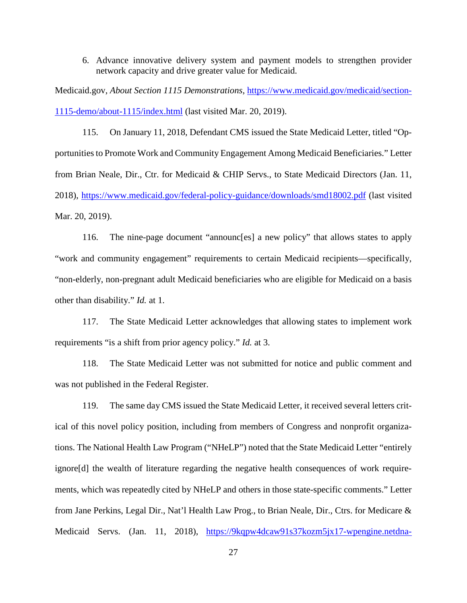6. Advance innovative delivery system and payment models to strengthen provider network capacity and drive greater value for Medicaid.

Medicaid.gov, *About Section 1115 Demonstrations*, https://www.medicaid.gov/medicaid/section-1115-demo/about-1115/index.html (last visited Mar. 20, 2019).

115. On January 11, 2018, Defendant CMS issued the State Medicaid Letter, titled "Opportunities to Promote Work and Community Engagement Among Medicaid Beneficiaries." Letter from Brian Neale, Dir., Ctr. for Medicaid & CHIP Servs., to State Medicaid Directors (Jan. 11, 2018), https://www.medicaid.gov/federal-policy-guidance/downloads/smd18002.pdf (last visited Mar. 20, 2019).

116. The nine-page document "announc[es] a new policy" that allows states to apply "work and community engagement" requirements to certain Medicaid recipients—specifically, "non-elderly, non-pregnant adult Medicaid beneficiaries who are eligible for Medicaid on a basis other than disability." *Id.* at 1.

117. The State Medicaid Letter acknowledges that allowing states to implement work requirements "is a shift from prior agency policy." *Id.* at 3.

118. The State Medicaid Letter was not submitted for notice and public comment and was not published in the Federal Register.

119. The same day CMS issued the State Medicaid Letter, it received several letters critical of this novel policy position, including from members of Congress and nonprofit organizations. The National Health Law Program ("NHeLP") noted that the State Medicaid Letter "entirely ignore[d] the wealth of literature regarding the negative health consequences of work requirements, which was repeatedly cited by NHeLP and others in those state-specific comments." Letter from Jane Perkins, Legal Dir., Nat'l Health Law Prog., to Brian Neale, Dir., Ctrs. for Medicare & Medicaid Servs. (Jan. 11, 2018), https://9kqpw4dcaw91s37kozm5jx17-wpengine.netdna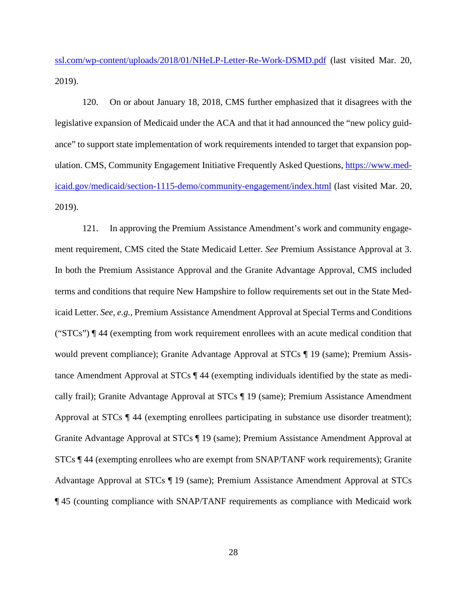ssl.com/wp-content/uploads/2018/01/NHeLP-Letter-Re-Work-DSMD.pdf (last visited Mar. 20, 2019).

120. On or about January 18, 2018, CMS further emphasized that it disagrees with the legislative expansion of Medicaid under the ACA and that it had announced the "new policy guidance" to support state implementation of work requirements intended to target that expansion population. CMS, Community Engagement Initiative Frequently Asked Questions, https://www.medicaid.gov/medicaid/section-1115-demo/community-engagement/index.html (last visited Mar. 20, 2019).

121. In approving the Premium Assistance Amendment's work and community engagement requirement, CMS cited the State Medicaid Letter. *See* Premium Assistance Approval at 3. In both the Premium Assistance Approval and the Granite Advantage Approval, CMS included terms and conditions that require New Hampshire to follow requirements set out in the State Medicaid Letter. *See*, *e.g.*, Premium Assistance Amendment Approval at Special Terms and Conditions ("STCs") ¶ 44 (exempting from work requirement enrollees with an acute medical condition that would prevent compliance); Granite Advantage Approval at STCs  $\P$  19 (same); Premium Assistance Amendment Approval at STCs ¶ 44 (exempting individuals identified by the state as medically frail); Granite Advantage Approval at STCs ¶ 19 (same); Premium Assistance Amendment Approval at STCs ¶ 44 (exempting enrollees participating in substance use disorder treatment); Granite Advantage Approval at STCs ¶ 19 (same); Premium Assistance Amendment Approval at STCs ¶ 44 (exempting enrollees who are exempt from SNAP/TANF work requirements); Granite Advantage Approval at STCs ¶ 19 (same); Premium Assistance Amendment Approval at STCs ¶ 45 (counting compliance with SNAP/TANF requirements as compliance with Medicaid work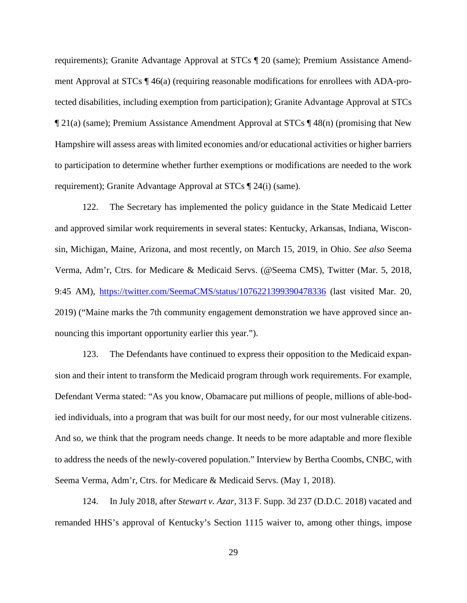requirements); Granite Advantage Approval at STCs ¶ 20 (same); Premium Assistance Amendment Approval at STCs ¶ 46(a) (requiring reasonable modifications for enrollees with ADA-protected disabilities, including exemption from participation); Granite Advantage Approval at STCs ¶ 21(a) (same); Premium Assistance Amendment Approval at STCs ¶ 48(n) (promising that New Hampshire will assess areas with limited economies and/or educational activities or higher barriers to participation to determine whether further exemptions or modifications are needed to the work requirement); Granite Advantage Approval at STCs ¶ 24(i) (same).

122. The Secretary has implemented the policy guidance in the State Medicaid Letter and approved similar work requirements in several states: Kentucky, Arkansas, Indiana, Wisconsin, Michigan, Maine, Arizona, and most recently, on March 15, 2019, in Ohio. *See also* Seema Verma, Adm'r, Ctrs. for Medicare & Medicaid Servs. (@Seema CMS), Twitter (Mar. 5, 2018, 9:45 AM), https://twitter.com/SeemaCMS/status/1076221399390478336 (last visited Mar. 20, 2019) ("Maine marks the 7th community engagement demonstration we have approved since announcing this important opportunity earlier this year.").

123. The Defendants have continued to express their opposition to the Medicaid expansion and their intent to transform the Medicaid program through work requirements. For example, Defendant Verma stated: "As you know, Obamacare put millions of people, millions of able-bodied individuals, into a program that was built for our most needy, for our most vulnerable citizens. And so, we think that the program needs change. It needs to be more adaptable and more flexible to address the needs of the newly-covered population." Interview by Bertha Coombs, CNBC, with Seema Verma, Adm'r, Ctrs. for Medicare & Medicaid Servs. (May 1, 2018).

124. In July 2018, after *Stewart v. Azar*, 313 F. Supp. 3d 237 (D.D.C. 2018) vacated and remanded HHS's approval of Kentucky's Section 1115 waiver to, among other things, impose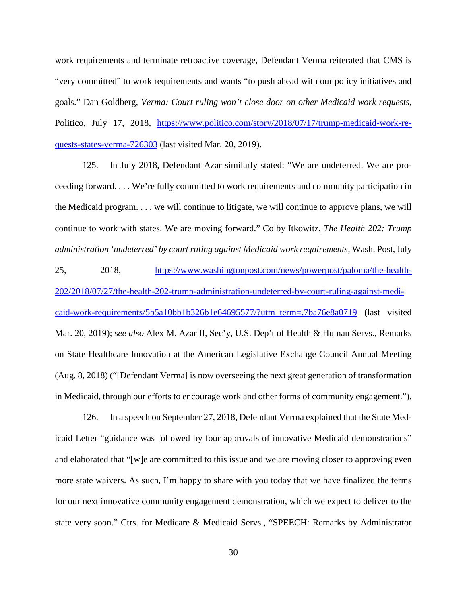work requirements and terminate retroactive coverage, Defendant Verma reiterated that CMS is "very committed" to work requirements and wants "to push ahead with our policy initiatives and goals." Dan Goldberg, *Verma: Court ruling won't close door on other Medicaid work requests*, Politico, July 17, 2018, https://www.politico.com/story/2018/07/17/trump-medicaid-work-requests-states-verma-726303 (last visited Mar. 20, 2019).

125. In July 2018, Defendant Azar similarly stated: "We are undeterred. We are proceeding forward. . . . We're fully committed to work requirements and community participation in the Medicaid program. . . . we will continue to litigate, we will continue to approve plans, we will continue to work with states. We are moving forward." Colby Itkowitz, *The Health 202: Trump administration 'undeterred' by court ruling against Medicaid work requirements,* Wash. Post,July 25, 2018, https://www.washingtonpost.com/news/powerpost/paloma/the-health-202/2018/07/27/the-health-202-trump-administration-undeterred-by-court-ruling-against-medicaid-work-requirements/5b5a10bb1b326b1e64695577/?utm term=.7ba76e8a0719 (last visited Mar. 20, 2019); *see also* Alex M. Azar II, Sec'y, U.S. Dep't of Health & Human Servs., Remarks on State Healthcare Innovation at the American Legislative Exchange Council Annual Meeting (Aug. 8, 2018) ("[Defendant Verma] is now overseeing the next great generation of transformation in Medicaid, through our efforts to encourage work and other forms of community engagement.").

126. In a speech on September 27, 2018, Defendant Verma explained that the State Medicaid Letter "guidance was followed by four approvals of innovative Medicaid demonstrations" and elaborated that "[w]e are committed to this issue and we are moving closer to approving even more state waivers. As such, I'm happy to share with you today that we have finalized the terms for our next innovative community engagement demonstration, which we expect to deliver to the state very soon." Ctrs. for Medicare & Medicaid Servs., "SPEECH: Remarks by Administrator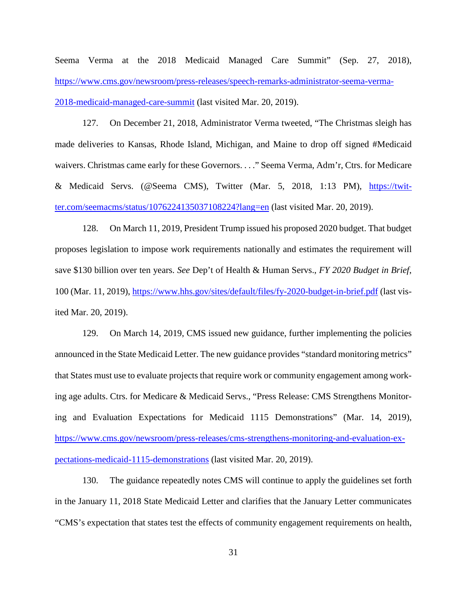Seema Verma at the 2018 Medicaid Managed Care Summit" (Sep. 27, 2018), https://www.cms.gov/newsroom/press-releases/speech-remarks-administrator-seema-verma-2018-medicaid-managed-care-summit (last visited Mar. 20, 2019).

127. On December 21, 2018, Administrator Verma tweeted, "The Christmas sleigh has made deliveries to Kansas, Rhode Island, Michigan, and Maine to drop off signed #Medicaid waivers. Christmas came early for these Governors. . . ." Seema Verma, Adm'r, Ctrs. for Medicare & Medicaid Servs. (@Seema CMS), Twitter (Mar. 5, 2018, 1:13 PM), https://twitter.com/seemacms/status/1076224135037108224?lang=en (last visited Mar. 20, 2019).

128. On March 11, 2019, President Trump issued his proposed 2020 budget. That budget proposes legislation to impose work requirements nationally and estimates the requirement will save \$130 billion over ten years. *See* Dep't of Health & Human Servs., *FY 2020 Budget in Brief*, 100 (Mar. 11, 2019), https://www.hhs.gov/sites/default/files/fy-2020-budget-in-brief.pdf (last visited Mar. 20, 2019).

129. On March 14, 2019, CMS issued new guidance, further implementing the policies announced in the State Medicaid Letter. The new guidance provides "standard monitoring metrics" that States must use to evaluate projects that require work or community engagement among working age adults. Ctrs. for Medicare & Medicaid Servs., "Press Release: CMS Strengthens Monitoring and Evaluation Expectations for Medicaid 1115 Demonstrations" (Mar. 14, 2019), https://www.cms.gov/newsroom/press-releases/cms-strengthens-monitoring-and-evaluation-expectations-medicaid-1115-demonstrations (last visited Mar. 20, 2019).

130. The guidance repeatedly notes CMS will continue to apply the guidelines set forth in the January 11, 2018 State Medicaid Letter and clarifies that the January Letter communicates "CMS's expectation that states test the effects of community engagement requirements on health,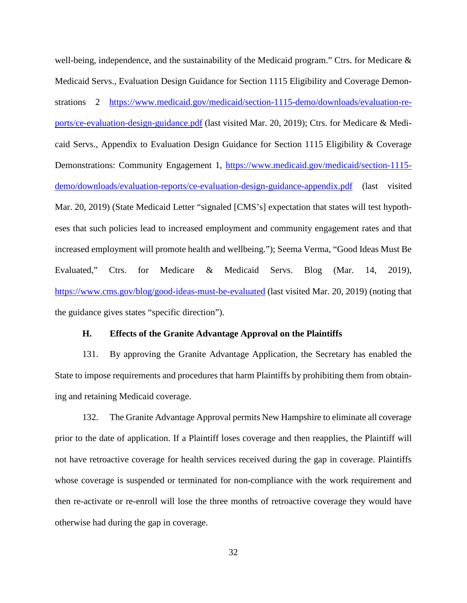well-being, independence, and the sustainability of the Medicaid program." Ctrs. for Medicare & Medicaid Servs., Evaluation Design Guidance for Section 1115 Eligibility and Coverage Demonstrations 2 https://www.medicaid.gov/medicaid/section-1115-demo/downloads/evaluation-reports/ce-evaluation-design-guidance.pdf (last visited Mar. 20, 2019); Ctrs. for Medicare & Medicaid Servs., Appendix to Evaluation Design Guidance for Section 1115 Eligibility & Coverage Demonstrations: Community Engagement 1, https://www.medicaid.gov/medicaid/section-1115demo/downloads/evaluation-reports/ce-evaluation-design-guidance-appendix.pdf (last visited Mar. 20, 2019) (State Medicaid Letter "signaled [CMS's] expectation that states will test hypotheses that such policies lead to increased employment and community engagement rates and that increased employment will promote health and wellbeing."); Seema Verma, "Good Ideas Must Be Evaluated," Ctrs. for Medicare & Medicaid Servs. Blog (Mar. 14, 2019), https://www.cms.gov/blog/good-ideas-must-be-evaluated (last visited Mar. 20, 2019) (noting that the guidance gives states "specific direction").

### **H. Effects of the Granite Advantage Approval on the Plaintiffs**

131. By approving the Granite Advantage Application, the Secretary has enabled the State to impose requirements and procedures that harm Plaintiffs by prohibiting them from obtaining and retaining Medicaid coverage.

132. The Granite Advantage Approval permits New Hampshire to eliminate all coverage prior to the date of application. If a Plaintiff loses coverage and then reapplies, the Plaintiff will not have retroactive coverage for health services received during the gap in coverage. Plaintiffs whose coverage is suspended or terminated for non-compliance with the work requirement and then re-activate or re-enroll will lose the three months of retroactive coverage they would have otherwise had during the gap in coverage.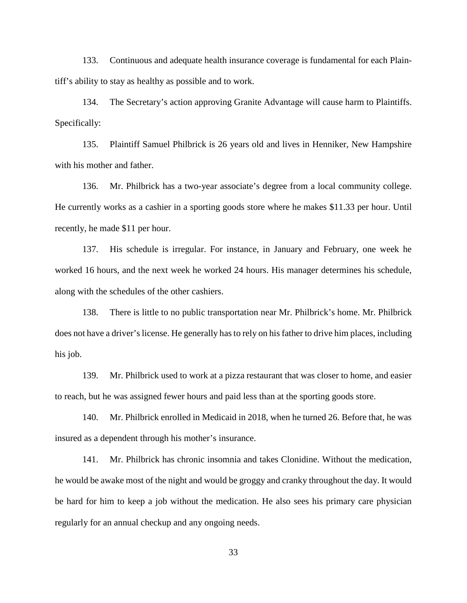133. Continuous and adequate health insurance coverage is fundamental for each Plaintiff's ability to stay as healthy as possible and to work.

134. The Secretary's action approving Granite Advantage will cause harm to Plaintiffs. Specifically:

135. Plaintiff Samuel Philbrick is 26 years old and lives in Henniker, New Hampshire with his mother and father.

136. Mr. Philbrick has a two-year associate's degree from a local community college. He currently works as a cashier in a sporting goods store where he makes \$11.33 per hour. Until recently, he made \$11 per hour.

137. His schedule is irregular. For instance, in January and February, one week he worked 16 hours, and the next week he worked 24 hours. His manager determines his schedule, along with the schedules of the other cashiers.

138. There is little to no public transportation near Mr. Philbrick's home. Mr. Philbrick does not have a driver's license. He generally has to rely on his father to drive him places, including his job.

139. Mr. Philbrick used to work at a pizza restaurant that was closer to home, and easier to reach, but he was assigned fewer hours and paid less than at the sporting goods store.

140. Mr. Philbrick enrolled in Medicaid in 2018, when he turned 26. Before that, he was insured as a dependent through his mother's insurance.

141. Mr. Philbrick has chronic insomnia and takes Clonidine. Without the medication, he would be awake most of the night and would be groggy and cranky throughout the day. It would be hard for him to keep a job without the medication. He also sees his primary care physician regularly for an annual checkup and any ongoing needs.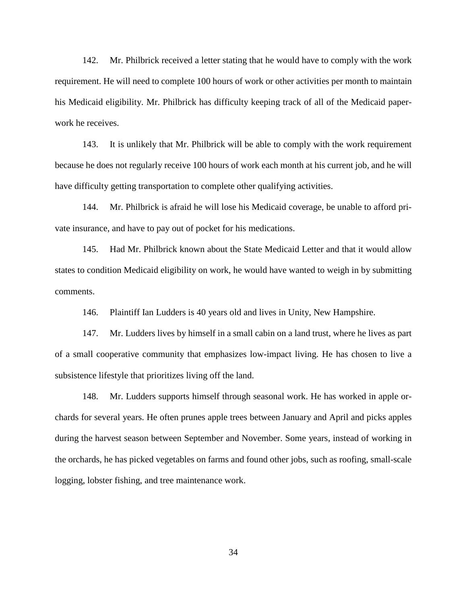142. Mr. Philbrick received a letter stating that he would have to comply with the work requirement. He will need to complete 100 hours of work or other activities per month to maintain his Medicaid eligibility. Mr. Philbrick has difficulty keeping track of all of the Medicaid paperwork he receives.

143. It is unlikely that Mr. Philbrick will be able to comply with the work requirement because he does not regularly receive 100 hours of work each month at his current job, and he will have difficulty getting transportation to complete other qualifying activities.

144. Mr. Philbrick is afraid he will lose his Medicaid coverage, be unable to afford private insurance, and have to pay out of pocket for his medications.

145. Had Mr. Philbrick known about the State Medicaid Letter and that it would allow states to condition Medicaid eligibility on work, he would have wanted to weigh in by submitting comments.

146. Plaintiff Ian Ludders is 40 years old and lives in Unity, New Hampshire.

147. Mr. Ludders lives by himself in a small cabin on a land trust, where he lives as part of a small cooperative community that emphasizes low-impact living. He has chosen to live a subsistence lifestyle that prioritizes living off the land.

148. Mr. Ludders supports himself through seasonal work. He has worked in apple orchards for several years. He often prunes apple trees between January and April and picks apples during the harvest season between September and November. Some years, instead of working in the orchards, he has picked vegetables on farms and found other jobs, such as roofing, small-scale logging, lobster fishing, and tree maintenance work.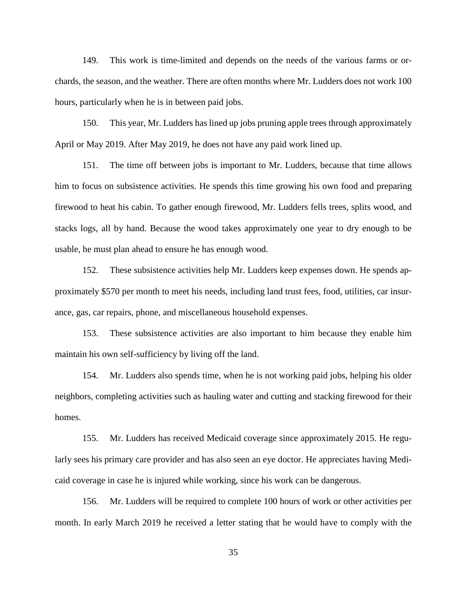149. This work is time-limited and depends on the needs of the various farms or orchards, the season, and the weather. There are often months where Mr. Ludders does not work 100 hours, particularly when he is in between paid jobs.

150. This year, Mr. Ludders has lined up jobs pruning apple trees through approximately April or May 2019. After May 2019, he does not have any paid work lined up.

151. The time off between jobs is important to Mr. Ludders, because that time allows him to focus on subsistence activities. He spends this time growing his own food and preparing firewood to heat his cabin. To gather enough firewood, Mr. Ludders fells trees, splits wood, and stacks logs, all by hand. Because the wood takes approximately one year to dry enough to be usable, he must plan ahead to ensure he has enough wood.

152. These subsistence activities help Mr. Ludders keep expenses down. He spends approximately \$570 per month to meet his needs, including land trust fees, food, utilities, car insurance, gas, car repairs, phone, and miscellaneous household expenses.

153. These subsistence activities are also important to him because they enable him maintain his own self-sufficiency by living off the land.

154. Mr. Ludders also spends time, when he is not working paid jobs, helping his older neighbors, completing activities such as hauling water and cutting and stacking firewood for their homes.

155. Mr. Ludders has received Medicaid coverage since approximately 2015. He regularly sees his primary care provider and has also seen an eye doctor. He appreciates having Medicaid coverage in case he is injured while working, since his work can be dangerous.

156. Mr. Ludders will be required to complete 100 hours of work or other activities per month. In early March 2019 he received a letter stating that he would have to comply with the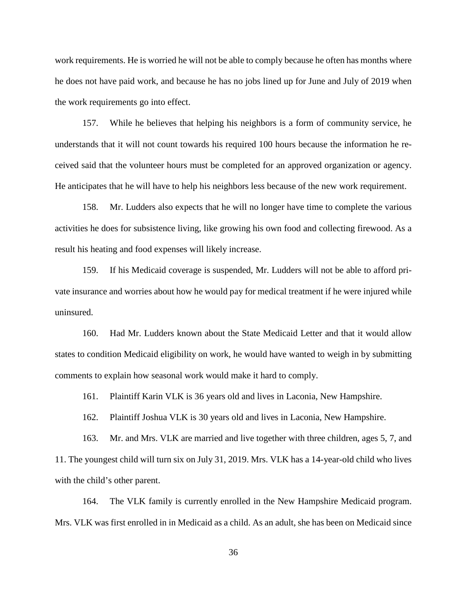work requirements. He is worried he will not be able to comply because he often has months where he does not have paid work, and because he has no jobs lined up for June and July of 2019 when the work requirements go into effect.

157. While he believes that helping his neighbors is a form of community service, he understands that it will not count towards his required 100 hours because the information he received said that the volunteer hours must be completed for an approved organization or agency. He anticipates that he will have to help his neighbors less because of the new work requirement.

158. Mr. Ludders also expects that he will no longer have time to complete the various activities he does for subsistence living, like growing his own food and collecting firewood. As a result his heating and food expenses will likely increase.

159. If his Medicaid coverage is suspended, Mr. Ludders will not be able to afford private insurance and worries about how he would pay for medical treatment if he were injured while uninsured.

160. Had Mr. Ludders known about the State Medicaid Letter and that it would allow states to condition Medicaid eligibility on work, he would have wanted to weigh in by submitting comments to explain how seasonal work would make it hard to comply.

161. Plaintiff Karin VLK is 36 years old and lives in Laconia, New Hampshire.

162. Plaintiff Joshua VLK is 30 years old and lives in Laconia, New Hampshire.

163. Mr. and Mrs. VLK are married and live together with three children, ages 5, 7, and 11. The youngest child will turn six on July 31, 2019. Mrs. VLK has a 14-year-old child who lives with the child's other parent.

164. The VLK family is currently enrolled in the New Hampshire Medicaid program. Mrs. VLK was first enrolled in in Medicaid as a child. As an adult, she has been on Medicaid since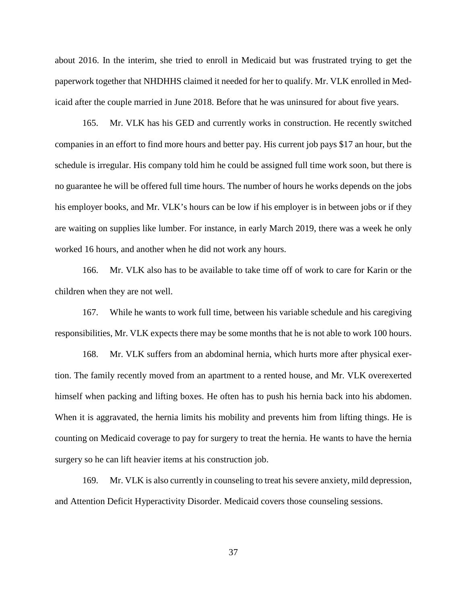about 2016. In the interim, she tried to enroll in Medicaid but was frustrated trying to get the paperwork together that NHDHHS claimed it needed for her to qualify. Mr. VLK enrolled in Medicaid after the couple married in June 2018. Before that he was uninsured for about five years.

165. Mr. VLK has his GED and currently works in construction. He recently switched companies in an effort to find more hours and better pay. His current job pays \$17 an hour, but the schedule is irregular. His company told him he could be assigned full time work soon, but there is no guarantee he will be offered full time hours. The number of hours he works depends on the jobs his employer books, and Mr. VLK's hours can be low if his employer is in between jobs or if they are waiting on supplies like lumber. For instance, in early March 2019, there was a week he only worked 16 hours, and another when he did not work any hours.

166. Mr. VLK also has to be available to take time off of work to care for Karin or the children when they are not well.

167. While he wants to work full time, between his variable schedule and his caregiving responsibilities, Mr. VLK expects there may be some months that he is not able to work 100 hours.

168. Mr. VLK suffers from an abdominal hernia, which hurts more after physical exertion. The family recently moved from an apartment to a rented house, and Mr. VLK overexerted himself when packing and lifting boxes. He often has to push his hernia back into his abdomen. When it is aggravated, the hernia limits his mobility and prevents him from lifting things. He is counting on Medicaid coverage to pay for surgery to treat the hernia. He wants to have the hernia surgery so he can lift heavier items at his construction job.

169. Mr. VLK is also currently in counseling to treat his severe anxiety, mild depression, and Attention Deficit Hyperactivity Disorder. Medicaid covers those counseling sessions.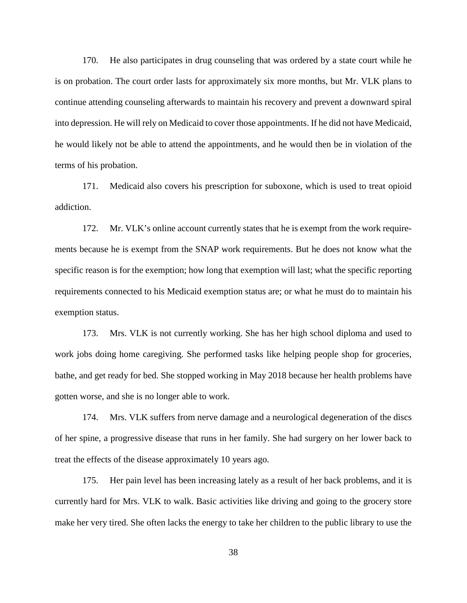170. He also participates in drug counseling that was ordered by a state court while he is on probation. The court order lasts for approximately six more months, but Mr. VLK plans to continue attending counseling afterwards to maintain his recovery and prevent a downward spiral into depression. He will rely on Medicaid to cover those appointments. If he did not have Medicaid, he would likely not be able to attend the appointments, and he would then be in violation of the terms of his probation.

171. Medicaid also covers his prescription for suboxone, which is used to treat opioid addiction.

172. Mr. VLK's online account currently states that he is exempt from the work requirements because he is exempt from the SNAP work requirements. But he does not know what the specific reason is for the exemption; how long that exemption will last; what the specific reporting requirements connected to his Medicaid exemption status are; or what he must do to maintain his exemption status.

173. Mrs. VLK is not currently working. She has her high school diploma and used to work jobs doing home caregiving. She performed tasks like helping people shop for groceries, bathe, and get ready for bed. She stopped working in May 2018 because her health problems have gotten worse, and she is no longer able to work.

174. Mrs. VLK suffers from nerve damage and a neurological degeneration of the discs of her spine, a progressive disease that runs in her family. She had surgery on her lower back to treat the effects of the disease approximately 10 years ago.

175. Her pain level has been increasing lately as a result of her back problems, and it is currently hard for Mrs. VLK to walk. Basic activities like driving and going to the grocery store make her very tired. She often lacks the energy to take her children to the public library to use the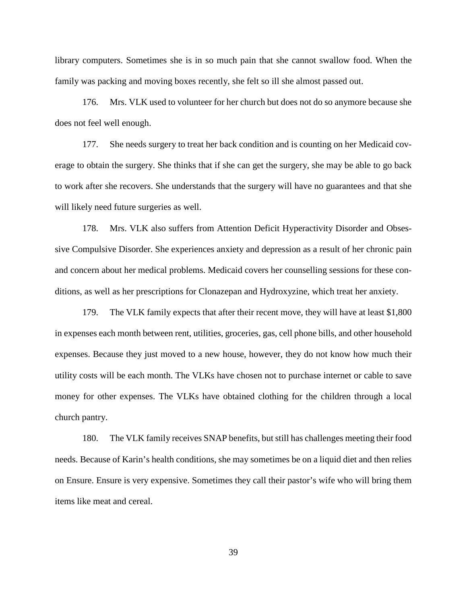library computers. Sometimes she is in so much pain that she cannot swallow food. When the family was packing and moving boxes recently, she felt so ill she almost passed out.

176. Mrs. VLK used to volunteer for her church but does not do so anymore because she does not feel well enough.

177. She needs surgery to treat her back condition and is counting on her Medicaid coverage to obtain the surgery. She thinks that if she can get the surgery, she may be able to go back to work after she recovers. She understands that the surgery will have no guarantees and that she will likely need future surgeries as well.

178. Mrs. VLK also suffers from Attention Deficit Hyperactivity Disorder and Obsessive Compulsive Disorder. She experiences anxiety and depression as a result of her chronic pain and concern about her medical problems. Medicaid covers her counselling sessions for these conditions, as well as her prescriptions for Clonazepan and Hydroxyzine, which treat her anxiety.

179. The VLK family expects that after their recent move, they will have at least \$1,800 in expenses each month between rent, utilities, groceries, gas, cell phone bills, and other household expenses. Because they just moved to a new house, however, they do not know how much their utility costs will be each month. The VLKs have chosen not to purchase internet or cable to save money for other expenses. The VLKs have obtained clothing for the children through a local church pantry.

180. The VLK family receives SNAP benefits, but still has challenges meeting their food needs. Because of Karin's health conditions, she may sometimes be on a liquid diet and then relies on Ensure. Ensure is very expensive. Sometimes they call their pastor's wife who will bring them items like meat and cereal.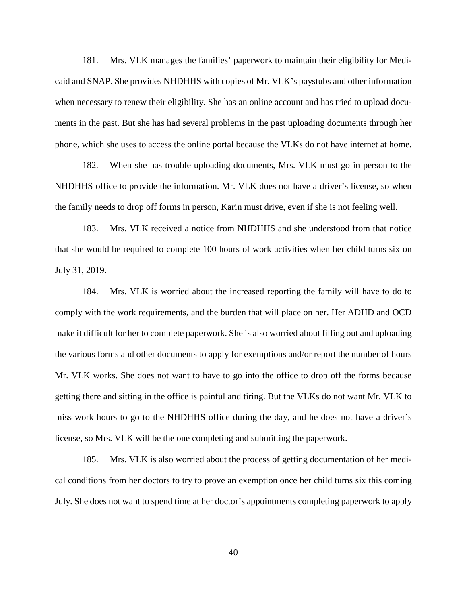181. Mrs. VLK manages the families' paperwork to maintain their eligibility for Medicaid and SNAP. She provides NHDHHS with copies of Mr. VLK's paystubs and other information when necessary to renew their eligibility. She has an online account and has tried to upload documents in the past. But she has had several problems in the past uploading documents through her phone, which she uses to access the online portal because the VLKs do not have internet at home.

182. When she has trouble uploading documents, Mrs. VLK must go in person to the NHDHHS office to provide the information. Mr. VLK does not have a driver's license, so when the family needs to drop off forms in person, Karin must drive, even if she is not feeling well.

183. Mrs. VLK received a notice from NHDHHS and she understood from that notice that she would be required to complete 100 hours of work activities when her child turns six on July 31, 2019.

184. Mrs. VLK is worried about the increased reporting the family will have to do to comply with the work requirements, and the burden that will place on her. Her ADHD and OCD make it difficult for her to complete paperwork. She is also worried about filling out and uploading the various forms and other documents to apply for exemptions and/or report the number of hours Mr. VLK works. She does not want to have to go into the office to drop off the forms because getting there and sitting in the office is painful and tiring. But the VLKs do not want Mr. VLK to miss work hours to go to the NHDHHS office during the day, and he does not have a driver's license, so Mrs. VLK will be the one completing and submitting the paperwork.

185. Mrs. VLK is also worried about the process of getting documentation of her medical conditions from her doctors to try to prove an exemption once her child turns six this coming July. She does not want to spend time at her doctor's appointments completing paperwork to apply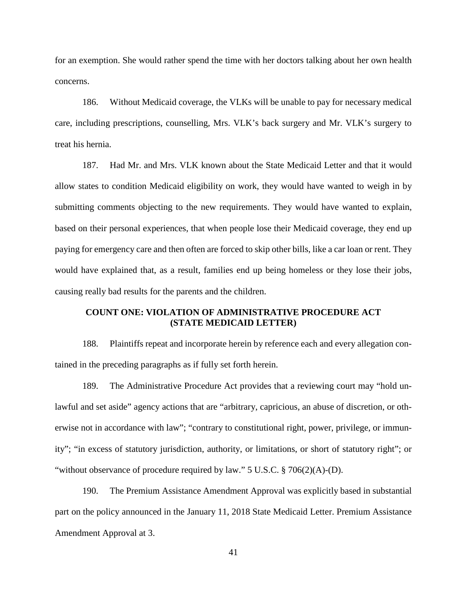for an exemption. She would rather spend the time with her doctors talking about her own health concerns.

186. Without Medicaid coverage, the VLKs will be unable to pay for necessary medical care, including prescriptions, counselling, Mrs. VLK's back surgery and Mr. VLK's surgery to treat his hernia.

187. Had Mr. and Mrs. VLK known about the State Medicaid Letter and that it would allow states to condition Medicaid eligibility on work, they would have wanted to weigh in by submitting comments objecting to the new requirements. They would have wanted to explain, based on their personal experiences, that when people lose their Medicaid coverage, they end up paying for emergency care and then often are forced to skip other bills, like a car loan or rent. They would have explained that, as a result, families end up being homeless or they lose their jobs, causing really bad results for the parents and the children.

# **COUNT ONE: VIOLATION OF ADMINISTRATIVE PROCEDURE ACT (STATE MEDICAID LETTER)**

188. Plaintiffs repeat and incorporate herein by reference each and every allegation contained in the preceding paragraphs as if fully set forth herein.

189. The Administrative Procedure Act provides that a reviewing court may "hold unlawful and set aside" agency actions that are "arbitrary, capricious, an abuse of discretion, or otherwise not in accordance with law"; "contrary to constitutional right, power, privilege, or immunity"; "in excess of statutory jurisdiction, authority, or limitations, or short of statutory right"; or "without observance of procedure required by law." 5 U.S.C. § 706(2)(A)-(D).

190. The Premium Assistance Amendment Approval was explicitly based in substantial part on the policy announced in the January 11, 2018 State Medicaid Letter. Premium Assistance Amendment Approval at 3.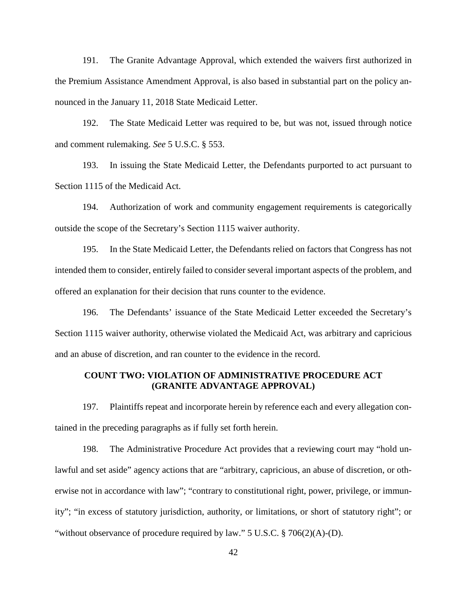191. The Granite Advantage Approval, which extended the waivers first authorized in the Premium Assistance Amendment Approval, is also based in substantial part on the policy announced in the January 11, 2018 State Medicaid Letter.

192. The State Medicaid Letter was required to be, but was not, issued through notice and comment rulemaking. *See* 5 U.S.C. § 553.

193. In issuing the State Medicaid Letter, the Defendants purported to act pursuant to Section 1115 of the Medicaid Act.

194. Authorization of work and community engagement requirements is categorically outside the scope of the Secretary's Section 1115 waiver authority.

195. In the State Medicaid Letter, the Defendants relied on factors that Congress has not intended them to consider, entirely failed to consider several important aspects of the problem, and offered an explanation for their decision that runs counter to the evidence.

196. The Defendants' issuance of the State Medicaid Letter exceeded the Secretary's Section 1115 waiver authority, otherwise violated the Medicaid Act, was arbitrary and capricious and an abuse of discretion, and ran counter to the evidence in the record.

## **COUNT TWO: VIOLATION OF ADMINISTRATIVE PROCEDURE ACT (GRANITE ADVANTAGE APPROVAL)**

197. Plaintiffs repeat and incorporate herein by reference each and every allegation contained in the preceding paragraphs as if fully set forth herein.

198. The Administrative Procedure Act provides that a reviewing court may "hold unlawful and set aside" agency actions that are "arbitrary, capricious, an abuse of discretion, or otherwise not in accordance with law"; "contrary to constitutional right, power, privilege, or immunity"; "in excess of statutory jurisdiction, authority, or limitations, or short of statutory right"; or "without observance of procedure required by law." 5 U.S.C. § 706(2)(A)-(D).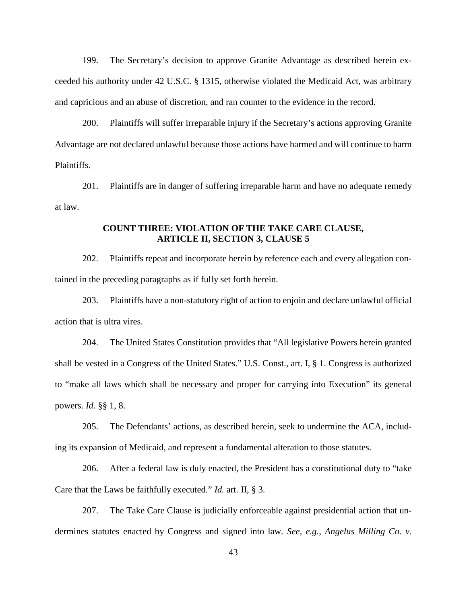199. The Secretary's decision to approve Granite Advantage as described herein exceeded his authority under 42 U.S.C. § 1315, otherwise violated the Medicaid Act, was arbitrary and capricious and an abuse of discretion, and ran counter to the evidence in the record.

200. Plaintiffs will suffer irreparable injury if the Secretary's actions approving Granite Advantage are not declared unlawful because those actions have harmed and will continue to harm Plaintiffs.

201. Plaintiffs are in danger of suffering irreparable harm and have no adequate remedy at law.

# **COUNT THREE: VIOLATION OF THE TAKE CARE CLAUSE, ARTICLE II, SECTION 3, CLAUSE 5**

202. Plaintiffs repeat and incorporate herein by reference each and every allegation contained in the preceding paragraphs as if fully set forth herein.

203. Plaintiffs have a non-statutory right of action to enjoin and declare unlawful official action that is ultra vires.

204. The United States Constitution provides that "All legislative Powers herein granted shall be vested in a Congress of the United States." U.S. Const., art. I, § 1. Congress is authorized to "make all laws which shall be necessary and proper for carrying into Execution" its general powers. *Id.* §§ 1, 8.

205. The Defendants' actions, as described herein, seek to undermine the ACA, including its expansion of Medicaid, and represent a fundamental alteration to those statutes.

206. After a federal law is duly enacted, the President has a constitutional duty to "take Care that the Laws be faithfully executed." *Id.* art. II, § 3.

207. The Take Care Clause is judicially enforceable against presidential action that undermines statutes enacted by Congress and signed into law. *See, e.g.*, *Angelus Milling Co. v.*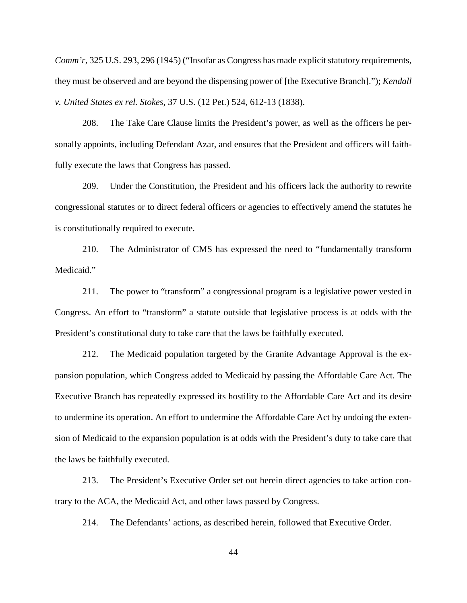*Comm'r*, 325 U.S. 293, 296 (1945) ("Insofar as Congress has made explicit statutory requirements, they must be observed and are beyond the dispensing power of [the Executive Branch]."); *Kendall v. United States ex rel. Stokes*, 37 U.S. (12 Pet.) 524, 612-13 (1838).

208. The Take Care Clause limits the President's power, as well as the officers he personally appoints, including Defendant Azar, and ensures that the President and officers will faithfully execute the laws that Congress has passed.

209. Under the Constitution, the President and his officers lack the authority to rewrite congressional statutes or to direct federal officers or agencies to effectively amend the statutes he is constitutionally required to execute.

210. The Administrator of CMS has expressed the need to "fundamentally transform Medicaid."

211. The power to "transform" a congressional program is a legislative power vested in Congress. An effort to "transform" a statute outside that legislative process is at odds with the President's constitutional duty to take care that the laws be faithfully executed.

212. The Medicaid population targeted by the Granite Advantage Approval is the expansion population, which Congress added to Medicaid by passing the Affordable Care Act. The Executive Branch has repeatedly expressed its hostility to the Affordable Care Act and its desire to undermine its operation. An effort to undermine the Affordable Care Act by undoing the extension of Medicaid to the expansion population is at odds with the President's duty to take care that the laws be faithfully executed.

213. The President's Executive Order set out herein direct agencies to take action contrary to the ACA, the Medicaid Act, and other laws passed by Congress.

214. The Defendants' actions, as described herein, followed that Executive Order.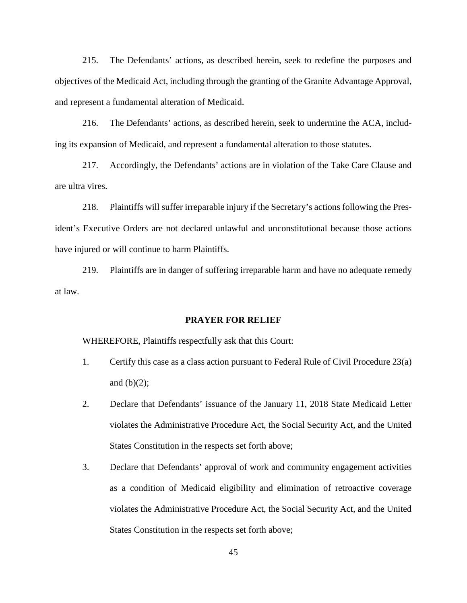215. The Defendants' actions, as described herein, seek to redefine the purposes and objectives of the Medicaid Act, including through the granting of the Granite Advantage Approval, and represent a fundamental alteration of Medicaid.

216. The Defendants' actions, as described herein, seek to undermine the ACA, including its expansion of Medicaid, and represent a fundamental alteration to those statutes.

217. Accordingly, the Defendants' actions are in violation of the Take Care Clause and are ultra vires.

218. Plaintiffs will suffer irreparable injury if the Secretary's actions following the President's Executive Orders are not declared unlawful and unconstitutional because those actions have injured or will continue to harm Plaintiffs.

219. Plaintiffs are in danger of suffering irreparable harm and have no adequate remedy at law.

### **PRAYER FOR RELIEF**

WHEREFORE, Plaintiffs respectfully ask that this Court:

- 1. Certify this case as a class action pursuant to Federal Rule of Civil Procedure 23(a) and  $(b)(2)$ ;
- 2. Declare that Defendants' issuance of the January 11, 2018 State Medicaid Letter violates the Administrative Procedure Act, the Social Security Act, and the United States Constitution in the respects set forth above;
- 3. Declare that Defendants' approval of work and community engagement activities as a condition of Medicaid eligibility and elimination of retroactive coverage violates the Administrative Procedure Act, the Social Security Act, and the United States Constitution in the respects set forth above;